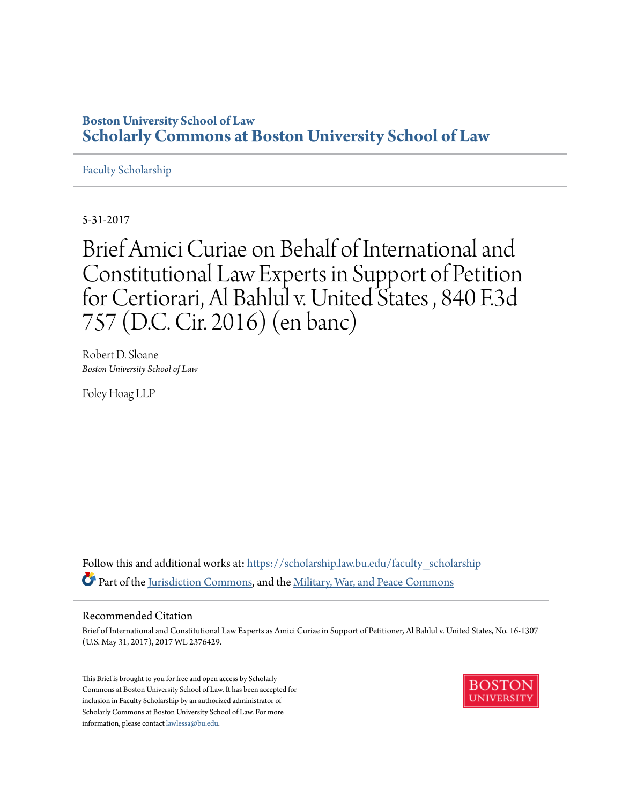# **Boston University School of Law [Scholarly Commons at Boston University School of Law](https://scholarship.law.bu.edu?utm_source=scholarship.law.bu.edu%2Ffaculty_scholarship%2F3&utm_medium=PDF&utm_campaign=PDFCoverPages)**

#### [Faculty Scholarship](https://scholarship.law.bu.edu/faculty_scholarship?utm_source=scholarship.law.bu.edu%2Ffaculty_scholarship%2F3&utm_medium=PDF&utm_campaign=PDFCoverPages)

5-31-2017

Brief Amici Curiae on Behalf of International and Constitutional Law Experts in Support of Petition for Certiorari, Al Bahlul v. United States , 840 F.3d 757 (D.C. Cir. 2016) (en banc)

Robert D. Sloane *Boston University School of Law*

Foley Hoag LLP

Follow this and additional works at: [https://scholarship.law.bu.edu/faculty\\_scholarship](https://scholarship.law.bu.edu/faculty_scholarship?utm_source=scholarship.law.bu.edu%2Ffaculty_scholarship%2F3&utm_medium=PDF&utm_campaign=PDFCoverPages) Part of the [Jurisdiction Commons](http://network.bepress.com/hgg/discipline/850?utm_source=scholarship.law.bu.edu%2Ffaculty_scholarship%2F3&utm_medium=PDF&utm_campaign=PDFCoverPages), and the [Military, War, and Peace Commons](http://network.bepress.com/hgg/discipline/861?utm_source=scholarship.law.bu.edu%2Ffaculty_scholarship%2F3&utm_medium=PDF&utm_campaign=PDFCoverPages)

#### Recommended Citation

Brief of International and Constitutional Law Experts as Amici Curiae in Support of Petitioner, Al Bahlul v. United States, No. 16-1307 (U.S. May 31, 2017), 2017 WL 2376429.

This Brief is brought to you for free and open access by Scholarly Commons at Boston University School of Law. It has been accepted for inclusion in Faculty Scholarship by an authorized administrator of Scholarly Commons at Boston University School of Law. For more information, please contact [lawlessa@bu.edu.](mailto:lawlessa@bu.edu)

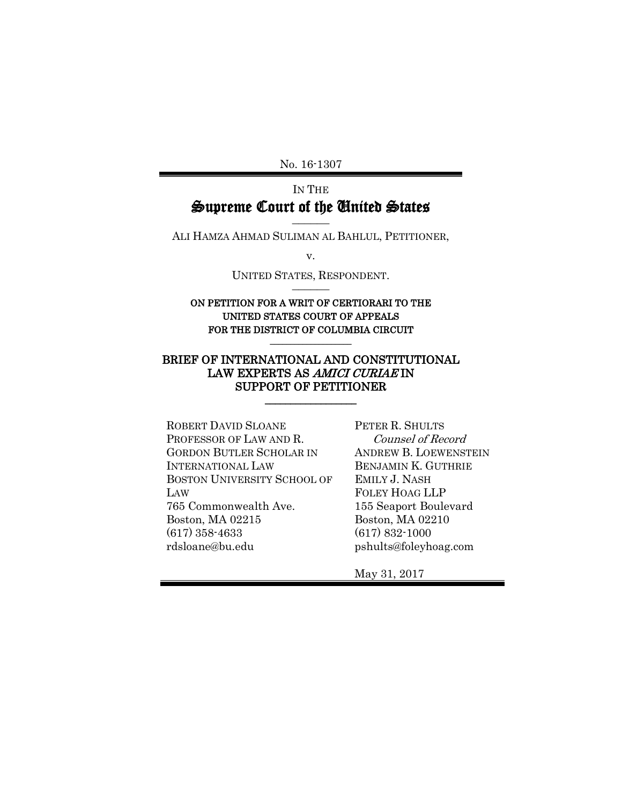No. 16-1307

# IN THE Supreme Court of the United States

–––––– ALI HAMZA AHMAD SULIMAN AL BAHLUL, PETITIONER,

v.

UNITED STATES, RESPONDENT. ––––––

#### ON PETITION FOR A WRIT OF CERTIORARI TO THE UNITED STATES COURT OF APPEALS FOR THE DISTRICT OF COLUMBIA CIRCUIT

 $\overline{\phantom{a}}$  , where  $\overline{\phantom{a}}$ 

#### BRIEF OF INTERNATIONAL AND CONSTITUTIONAL LAW EXPERTS AS AMICI CURIAE IN SUPPORT OF PETITIONER

\_\_\_\_\_\_\_\_\_\_\_\_\_\_\_\_\_\_

ROBERT DAVID SLOANE PROFESSOR OF LAW AND R. GORDON BUTLER SCHOLAR IN INTERNATIONAL LAW BOSTON UNIVERSITY SCHOOL OF LAW 765 Commonwealth Ave. Boston, MA 02215 (617) 358-4633 rdsloane@bu.edu

PETER R. SHULTS Counsel of Record ANDREW B. LOEWENSTEIN BENJAMIN K. GUTHRIE EMILY J. NASH FOLEY HOAG LLP 155 Seaport Boulevard Boston, MA 02210 (617) 832-1000 pshults@foleyhoag.com

May 31, 2017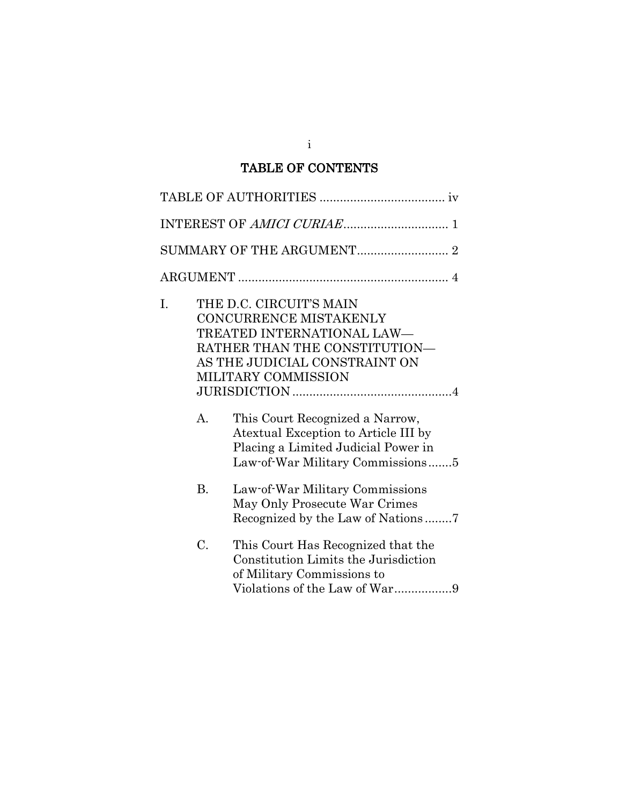# TABLE OF CONTENTS

| I. |           | THE D.C. CIRCUIT'S MAIN<br>CONCURRENCE MISTAKENLY<br>TREATED INTERNATIONAL LAW-<br>RATHER THAN THE CONSTITUTION—<br>AS THE JUDICIAL CONSTRAINT ON<br>MILITARY COMMISSION |
|----|-----------|--------------------------------------------------------------------------------------------------------------------------------------------------------------------------|
|    | А.        | This Court Recognized a Narrow,<br>Atextual Exception to Article III by<br>Placing a Limited Judicial Power in<br>Law-of-War Military Commissions5                       |
|    | <b>B.</b> | Law-of-War Military Commissions<br>May Only Prosecute War Crimes                                                                                                         |
|    | C.        | This Court Has Recognized that the<br>Constitution Limits the Jurisdiction<br>of Military Commissions to<br>Violations of the Law of War9                                |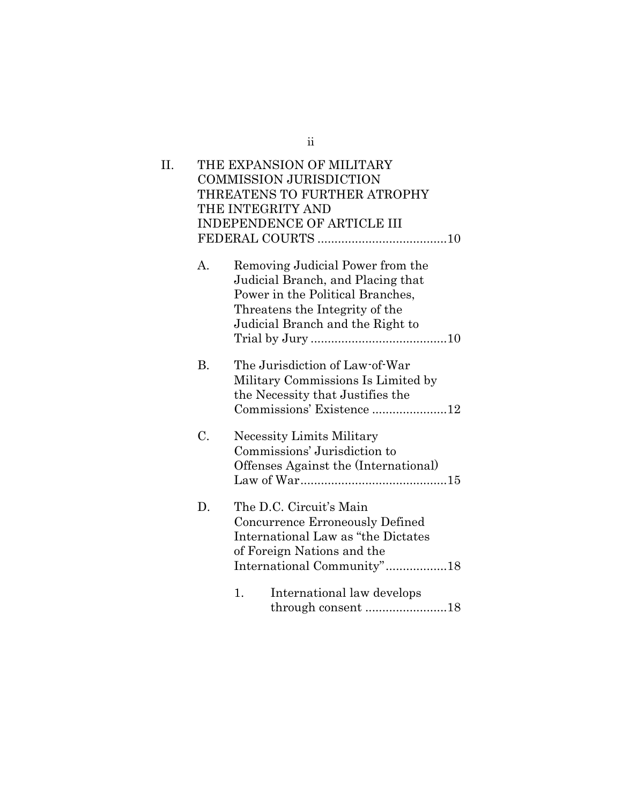| II. |           | THE EXPANSION OF MILITARY            |  |
|-----|-----------|--------------------------------------|--|
|     |           | <b>COMMISSION JURISDICTION</b>       |  |
|     |           | THREATENS TO FURTHER ATROPHY         |  |
|     |           | THE INTEGRITY AND                    |  |
|     |           | INDEPENDENCE OF ARTICLE III          |  |
|     |           |                                      |  |
|     | А.        | Removing Judicial Power from the     |  |
|     |           | Judicial Branch, and Placing that    |  |
|     |           | Power in the Political Branches,     |  |
|     |           | Threatens the Integrity of the       |  |
|     |           | Judicial Branch and the Right to     |  |
|     |           |                                      |  |
|     |           |                                      |  |
|     | <b>B.</b> | The Jurisdiction of Law-of-War       |  |
|     |           | Military Commissions Is Limited by   |  |
|     |           | the Necessity that Justifies the     |  |
|     |           | Commissions' Existence 12            |  |
|     |           |                                      |  |
|     | C.        | <b>Necessity Limits Military</b>     |  |
|     |           | Commissions' Jurisdiction to         |  |
|     |           | Offenses Against the (International) |  |
|     |           |                                      |  |
|     |           |                                      |  |
|     | D.        | The D.C. Circuit's Main              |  |
|     |           | Concurrence Erroneously Defined      |  |
|     |           | International Law as "the Dictates"  |  |
|     |           | of Foreign Nations and the           |  |
|     |           | International Community"18           |  |
|     |           | International law develops<br>1.     |  |
|     |           | through consent 18                   |  |
|     |           |                                      |  |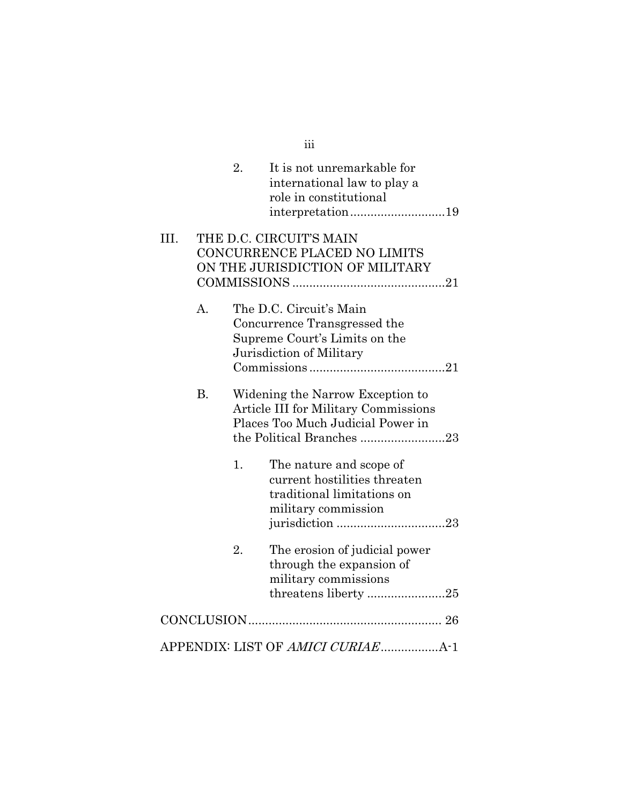|      |           | 2. | It is not unremarkable for<br>international law to play a<br>role in constitutional<br>interpretation19              |
|------|-----------|----|----------------------------------------------------------------------------------------------------------------------|
| III. |           |    | THE D.C. CIRCUIT'S MAIN<br>CONCURRENCE PLACED NO LIMITS<br>ON THE JURISDICTION OF MILITARY                           |
|      | А.        |    | The D.C. Circuit's Main<br>Concurrence Transgressed the<br>Supreme Court's Limits on the<br>Jurisdiction of Military |
|      | <b>B.</b> |    | Widening the Narrow Exception to<br><b>Article III for Military Commissions</b><br>Places Too Much Judicial Power in |
|      |           | 1. | The nature and scope of<br>current hostilities threaten<br>traditional limitations on<br>military commission         |
|      |           | 2. | The erosion of judicial power<br>through the expansion of<br>military commissions<br>threatens liberty 25            |
|      |           |    |                                                                                                                      |
|      |           |    | APPENDIX: LIST OF AMICI CURIAEA-1                                                                                    |

iii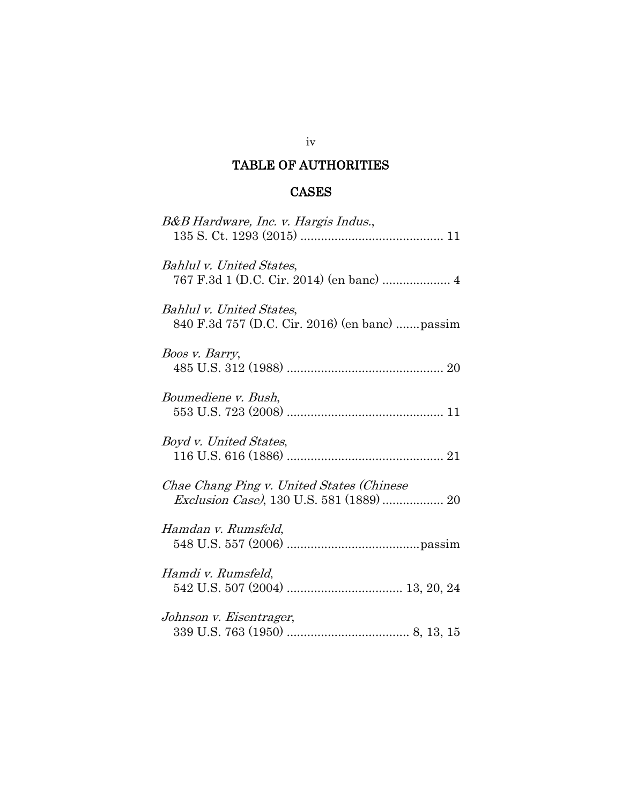## TABLE OF AUTHORITIES

# CASES

| B&B Hardware, Inc. v. Hargis Indus.,                                                  |
|---------------------------------------------------------------------------------------|
| Bahlul v. United States,                                                              |
| Bahlul v. United States,<br>840 F.3d 757 (D.C. Cir. 2016) (en banc)  passim           |
| Boos v. Barry,                                                                        |
| Boumediene v. Bush,                                                                   |
| Boyd v. United States,                                                                |
| Chae Chang Ping v. United States (Chinese<br>Exclusion Case), 130 U.S. 581 (1889)  20 |
| Hamdan v. Rumsfeld,                                                                   |
| Hamdi v. Rumsfeld,                                                                    |
| Johnson v. Eisentrager,                                                               |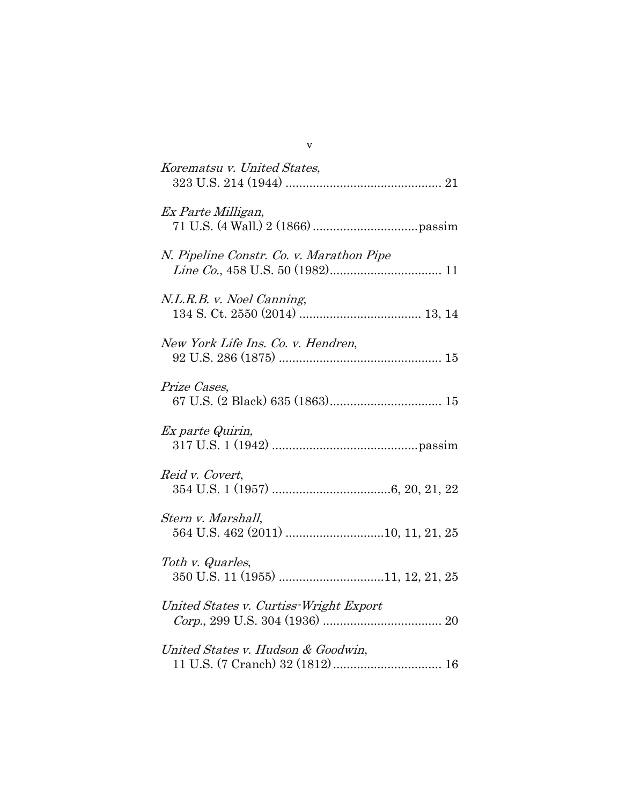| Korematsu v. United States,              |
|------------------------------------------|
| Ex Parte Milligan,                       |
| N. Pipeline Constr. Co. v. Marathon Pipe |
| N.L.R.B. v. Noel Canning,                |
| New York Life Ins. Co. v. Hendren,       |
| Prize Cases,                             |
| Ex parte Quirin,                         |
| Reid v. Covert,                          |
| Stern v. Marshall,                       |
| Toth v. Quarles,                         |
| United States v. Curtiss-Wright Export   |
| United States v. Hudson & Goodwin,       |

v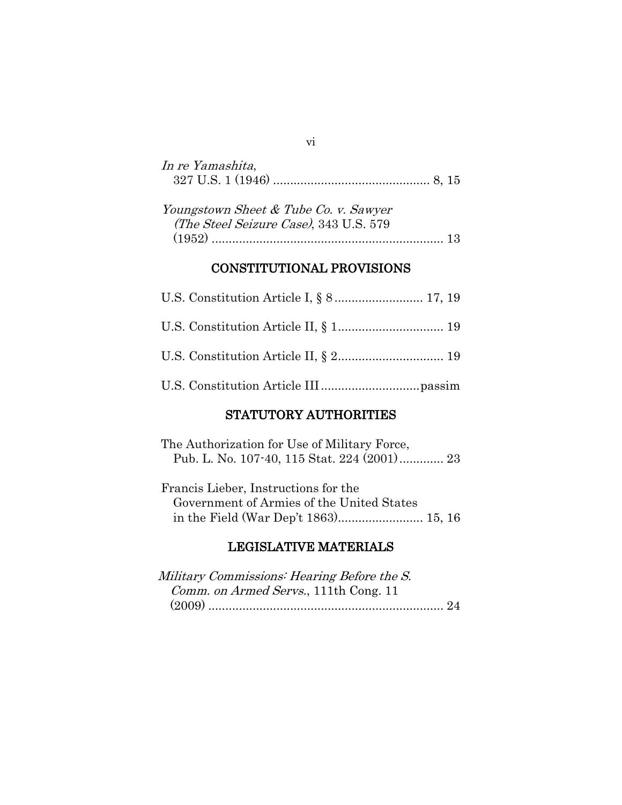| In re Yamashita, |  |  |
|------------------|--|--|
|                  |  |  |

| Youngstown Sheet & Tube Co. v. Sawyer  |  |
|----------------------------------------|--|
| (The Steel Seizure Case), 343 U.S. 579 |  |
|                                        |  |

## CONSTITUTIONAL PROVISIONS

## STATUTORY AUTHORITIES

The Authorization for Use of Military Force, Pub. L. No. 107-40, 115 Stat. 224 (2001)............. 23

Francis Lieber, Instructions for the Government of Armies of the United States in the Field (War Dep't 1863)......................... 15, 16

## LEGISLATIVE MATERIALS

| Military Commissions: Hearing Before the S. |  |
|---------------------------------------------|--|
| Comm. on Armed Servs., 111th Cong. 11       |  |
|                                             |  |

#### vi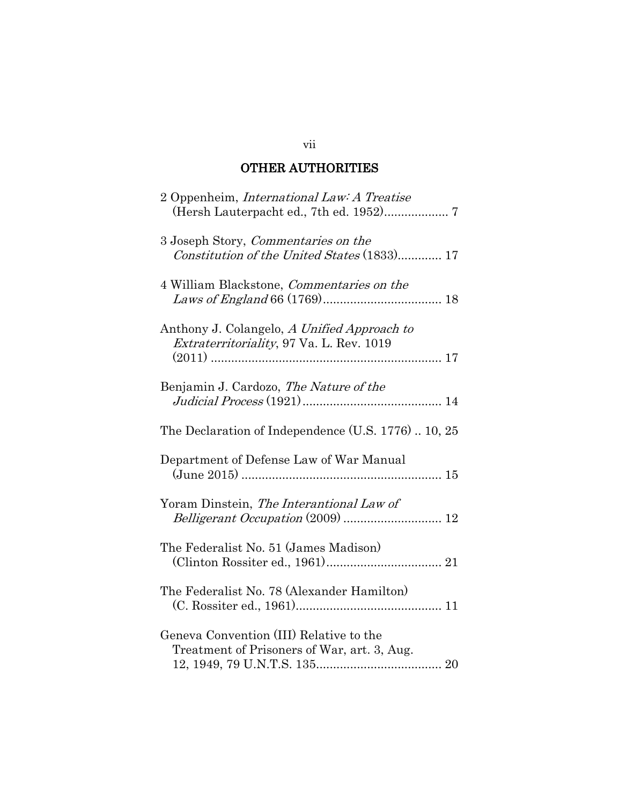## OTHER AUTHORITIES

| 2 Oppenheim, <i>International Law: A Treatise</i>                                       |
|-----------------------------------------------------------------------------------------|
| 3 Joseph Story, Commentaries on the<br>Constitution of the United States (1833) 17      |
| 4 William Blackstone, Commentaries on the                                               |
| Anthony J. Colangelo, A Unified Approach to<br>Extraterritoriality, 97 Va. L. Rev. 1019 |
| Benjamin J. Cardozo, The Nature of the                                                  |
| The Declaration of Independence (U.S. 1776) 10, 25                                      |
| Department of Defense Law of War Manual                                                 |
| Yoram Dinstein, The Interantional Law of                                                |
| The Federalist No. 51 (James Madison)                                                   |
| The Federalist No. 78 (Alexander Hamilton)                                              |
| Geneva Convention (III) Relative to the<br>Treatment of Prisoners of War, art. 3, Aug.  |

#### vii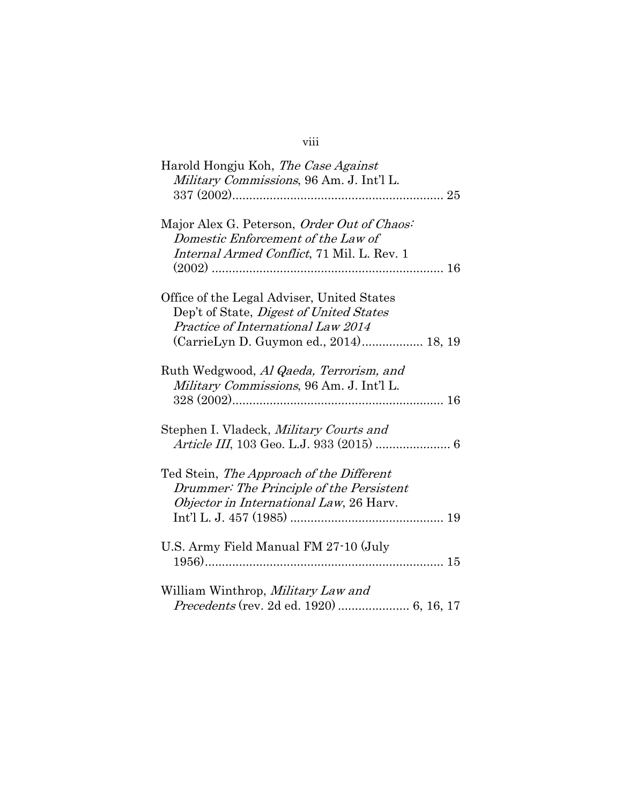## viii

| Harold Hongju Koh, The Case Against            |
|------------------------------------------------|
| Military Commissions, 96 Am. J. Int'l L.       |
|                                                |
|                                                |
| Major Alex G. Peterson, Order Out of Chaos:    |
| Domestic Enforcement of the Law of             |
| Internal Armed Conflict, 71 Mil. L. Rev. 1     |
|                                                |
|                                                |
|                                                |
| Office of the Legal Adviser, United States     |
| Dep't of State, <i>Digest of United States</i> |
| Practice of International Law 2014             |
| (CarrieLyn D. Guymon ed., 2014) 18, 19         |
|                                                |
| Ruth Wedgwood, Al Qaeda, Terrorism, and        |
| Military Commissions, 96 Am. J. Int'l L.       |
|                                                |
|                                                |
| Stephen I. Vladeck, <i>Military Courts and</i> |
| Article III, 103 Geo. L.J. 933 (2015)  6       |
|                                                |
|                                                |
| Ted Stein, The Approach of the Different       |
| Drummer: The Principle of the Persistent       |
| Objector in International Law, 26 Harv.        |
|                                                |
|                                                |
| U.S. Army Field Manual FM 27-10 (July          |
|                                                |
|                                                |
| William Winthrop, Military Law and             |
|                                                |
|                                                |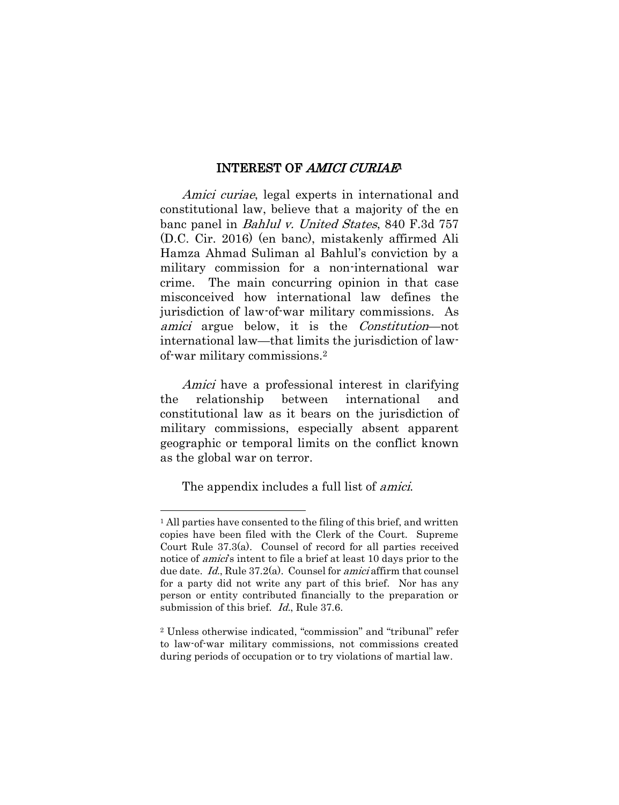#### INTEREST OF AMICI CURIAE<sup>1</sup>

Amici curiae, legal experts in international and constitutional law, believe that a majority of the en banc panel in Bahlul v. United States, 840 F.3d 757 (D.C. Cir. 2016) (en banc), mistakenly affirmed Ali Hamza Ahmad Suliman al Bahlul's conviction by a military commission for a non-international war crime. The main concurring opinion in that case misconceived how international law defines the jurisdiction of law-of-war military commissions. As amici argue below, it is the Constitution—not international law—that limits the jurisdiction of lawof-war military commissions.<sup>2</sup>

Amici have a professional interest in clarifying the relationship between international and constitutional law as it bears on the jurisdiction of military commissions, especially absent apparent geographic or temporal limits on the conflict known as the global war on terror.

The appendix includes a full list of *amici*.

 $\overline{a}$ 

<sup>&</sup>lt;sup>1</sup> All parties have consented to the filing of this brief, and written copies have been filed with the Clerk of the Court. Supreme Court Rule 37.3(a). Counsel of record for all parties received notice of *amici's* intent to file a brief at least 10 days prior to the due date. Id., Rule 37.2(a). Counsel for amici affirm that counsel for a party did not write any part of this brief. Nor has any person or entity contributed financially to the preparation or submission of this brief. *Id.*, Rule 37.6.

<sup>2</sup> Unless otherwise indicated, "commission" and "tribunal" refer to law-of-war military commissions, not commissions created during periods of occupation or to try violations of martial law.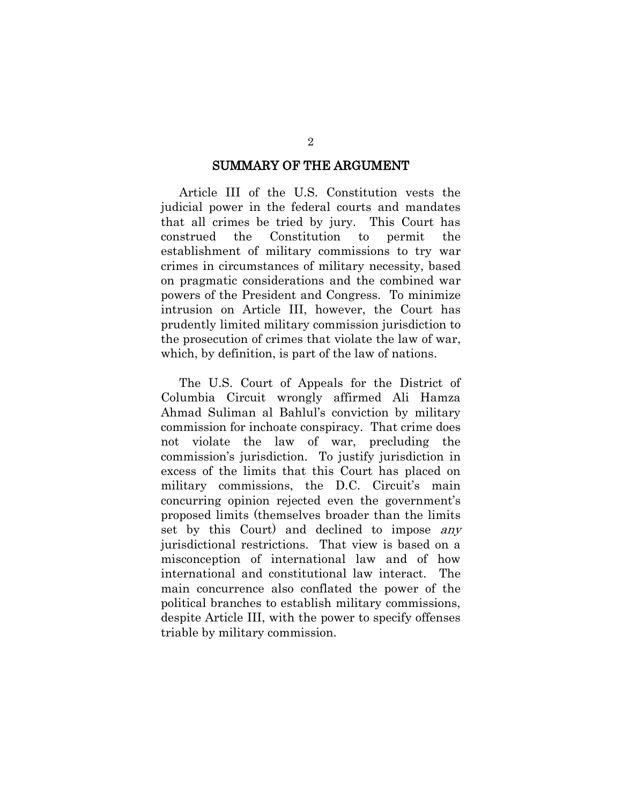#### SUMMARY OF THE ARGUMENT

Article III of the U.S. Constitution vests the judicial power in the federal courts and mandates that all crimes be tried by jury. This Court has construed the Constitution to permit the establishment of military commissions to try war crimes in circumstances of military necessity, based on pragmatic considerations and the combined war powers of the President and Congress. To minimize intrusion on Article III, however, the Court has prudently limited military commission jurisdiction to the prosecution of crimes that violate the law of war, which, by definition, is part of the law of nations.

The U.S. Court of Appeals for the District of Columbia Circuit wrongly affirmed Ali Hamza Ahmad Suliman al Bahlul's conviction by military commission for inchoate conspiracy. That crime does not violate the law of war, precluding the commission's jurisdiction. To justify jurisdiction in excess of the limits that this Court has placed on military commissions, the D.C. Circuit's main concurring opinion rejected even the government's proposed limits (themselves broader than the limits set by this Court) and declined to impose any jurisdictional restrictions. That view is based on a misconception of international law and of how international and constitutional law interact. The main concurrence also conflated the power of the political branches to establish military commissions, despite Article III, with the power to specify offenses triable by military commission.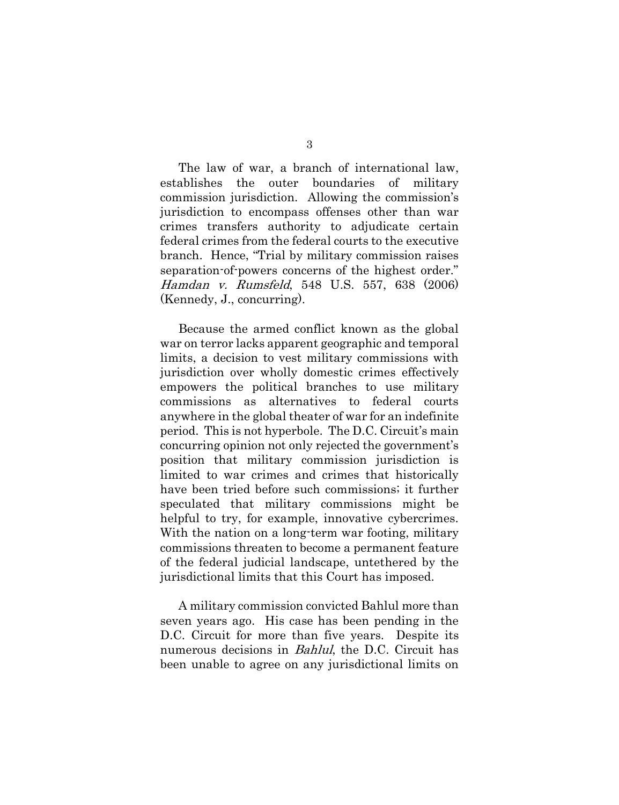The law of war, a branch of international law, establishes the outer boundaries of military commission jurisdiction. Allowing the commission's jurisdiction to encompass offenses other than war crimes transfers authority to adjudicate certain federal crimes from the federal courts to the executive branch. Hence, "Trial by military commission raises separation-of-powers concerns of the highest order." Hamdan v. Rumsfeld, 548 U.S. 557, 638 (2006) (Kennedy, J., concurring).

Because the armed conflict known as the global war on terror lacks apparent geographic and temporal limits, a decision to vest military commissions with jurisdiction over wholly domestic crimes effectively empowers the political branches to use military commissions as alternatives to federal courts anywhere in the global theater of war for an indefinite period. This is not hyperbole. The D.C. Circuit's main concurring opinion not only rejected the government's position that military commission jurisdiction is limited to war crimes and crimes that historically have been tried before such commissions; it further speculated that military commissions might be helpful to try, for example, innovative cybercrimes. With the nation on a long-term war footing, military commissions threaten to become a permanent feature of the federal judicial landscape, untethered by the jurisdictional limits that this Court has imposed.

A military commission convicted Bahlul more than seven years ago. His case has been pending in the D.C. Circuit for more than five years. Despite its numerous decisions in *Bahlul*, the D.C. Circuit has been unable to agree on any jurisdictional limits on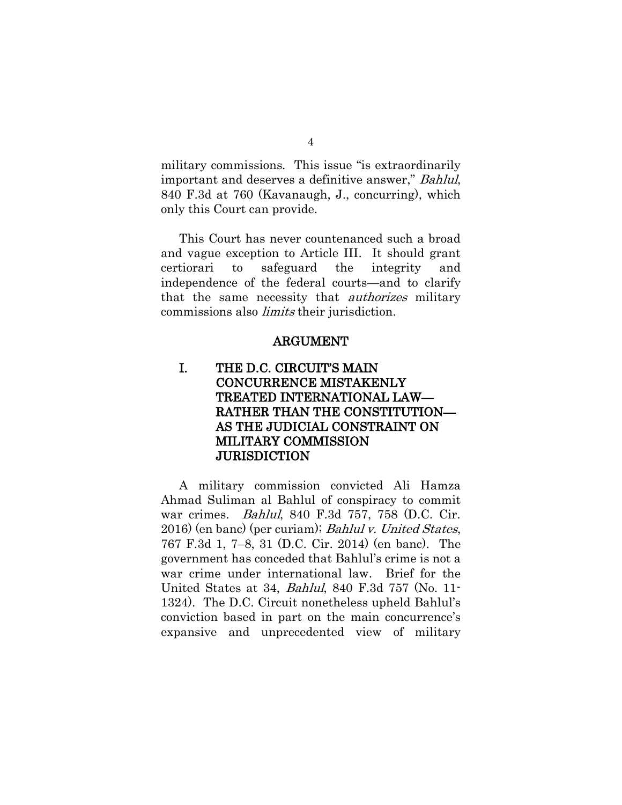military commissions. This issue "is extraordinarily important and deserves a definitive answer," Bahlul, 840 F.3d at 760 (Kavanaugh, J., concurring), which only this Court can provide.

This Court has never countenanced such a broad and vague exception to Article III. It should grant certiorari to safeguard the integrity and independence of the federal courts—and to clarify that the same necessity that authorizes military commissions also limits their jurisdiction.

#### ARGUMENT

## I. THE D.C. CIRCUIT'S MAIN CONCURRENCE MISTAKENLY TREATED INTERNATIONAL LAW— RATHER THAN THE CONSTITUTION— AS THE JUDICIAL CONSTRAINT ON MILITARY COMMISSION JURISDICTION

A military commission convicted Ali Hamza Ahmad Suliman al Bahlul of conspiracy to commit war crimes. Bahlul, 840 F.3d 757, 758 (D.C. Cir. 2016) (en banc) (per curiam); Bahlul v. United States, 767 F.3d 1, 7–8, 31 (D.C. Cir. 2014) (en banc). The government has conceded that Bahlul's crime is not a war crime under international law. Brief for the United States at 34, Bahlul, 840 F.3d 757 (No. 11- 1324). The D.C. Circuit nonetheless upheld Bahlul's conviction based in part on the main concurrence's expansive and unprecedented view of military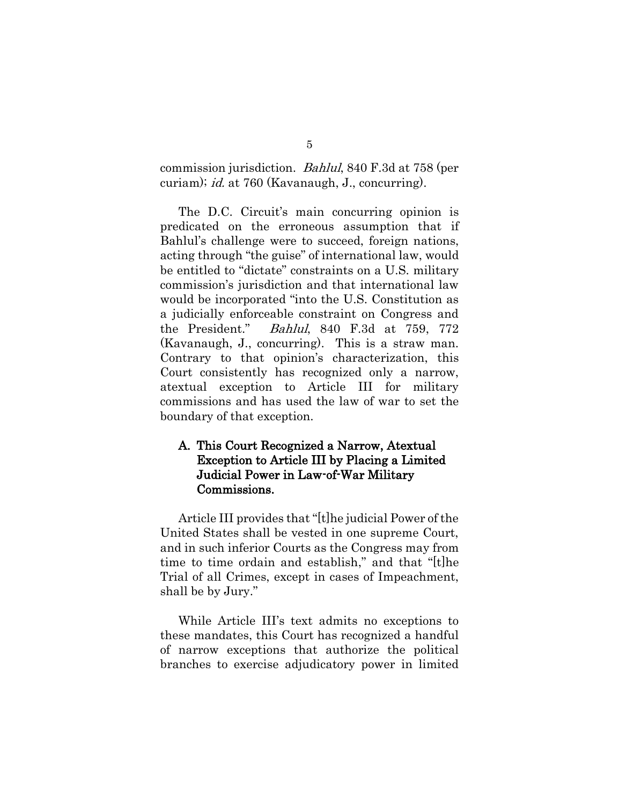commission jurisdiction. Bahlul, 840 F.3d at 758 (per curiam); id. at 760 (Kavanaugh, J., concurring).

The D.C. Circuit's main concurring opinion is predicated on the erroneous assumption that if Bahlul's challenge were to succeed, foreign nations, acting through "the guise" of international law, would be entitled to "dictate" constraints on a U.S. military commission's jurisdiction and that international law would be incorporated "into the U.S. Constitution as a judicially enforceable constraint on Congress and the President." Bahlul, 840 F.3d at 759, 772 (Kavanaugh, J., concurring). This is a straw man. Contrary to that opinion's characterization, this Court consistently has recognized only a narrow, atextual exception to Article III for military commissions and has used the law of war to set the boundary of that exception.

#### A. This Court Recognized a Narrow, Atextual Exception to Article III by Placing a Limited Judicial Power in Law-of-War Military Commissions.

Article III provides that "[t]he judicial Power of the United States shall be vested in one supreme Court, and in such inferior Courts as the Congress may from time to time ordain and establish," and that "[t]he Trial of all Crimes, except in cases of Impeachment, shall be by Jury."

While Article III's text admits no exceptions to these mandates, this Court has recognized a handful of narrow exceptions that authorize the political branches to exercise adjudicatory power in limited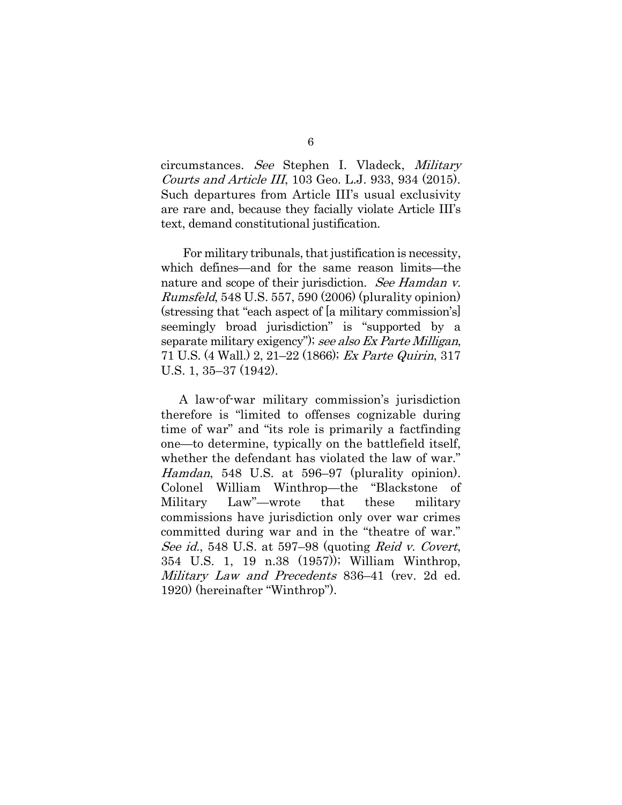circumstances. See Stephen I. Vladeck, Military Courts and Article III, 103 Geo. L.J. 933, 934 (2015). Such departures from Article III's usual exclusivity are rare and, because they facially violate Article III's text, demand constitutional justification.

For military tribunals, that justification is necessity, which defines—and for the same reason limits—the nature and scope of their jurisdiction. See Hamdan v. Rumsfeld, 548 U.S. 557, 590 (2006) (plurality opinion) (stressing that "each aspect of [a military commission's] seemingly broad jurisdiction" is "supported by a separate military exigency"); see also Ex Parte Milligan, 71 U.S. (4 Wall.) 2, 21–22 (1866); Ex Parte Quirin, 317 U.S. 1, 35–37 (1942).

A law-of-war military commission's jurisdiction therefore is "limited to offenses cognizable during time of war" and "its role is primarily a factfinding one—to determine, typically on the battlefield itself, whether the defendant has violated the law of war." Hamdan, 548 U.S. at 596–97 (plurality opinion). Colonel William Winthrop—the "Blackstone of Military Law"—wrote that these military commissions have jurisdiction only over war crimes committed during war and in the "theatre of war." See id., 548 U.S. at 597–98 (quoting Reid v. Covert, 354 U.S. 1, 19 n.38 (1957)); William Winthrop, Military Law and Precedents 836–41 (rev. 2d ed. 1920) (hereinafter "Winthrop").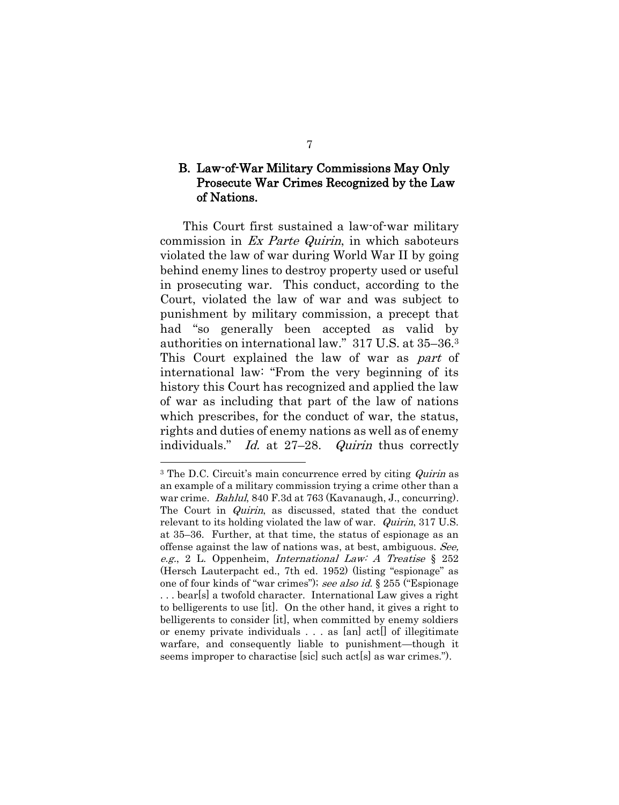## B. Law-of-War Military Commissions May Only Prosecute War Crimes Recognized by the Law of Nations.

This Court first sustained a law-of-war military commission in Ex Parte Quirin, in which saboteurs violated the law of war during World War II by going behind enemy lines to destroy property used or useful in prosecuting war. This conduct, according to the Court, violated the law of war and was subject to punishment by military commission, a precept that had "so generally been accepted as valid by authorities on international law." 317 U.S. at 35–36.<sup>3</sup> This Court explained the law of war as part of international law: "From the very beginning of its history this Court has recognized and applied the law of war as including that part of the law of nations which prescribes, for the conduct of war, the status, rights and duties of enemy nations as well as of enemy individuals." Id. at 27–28. *Quirin* thus correctly

<sup>&</sup>lt;sup>3</sup> The D.C. Circuit's main concurrence erred by citing *Quirin* as an example of a military commission trying a crime other than a war crime. *Bahlul*, 840 F.3d at 763 (Kavanaugh, J., concurring). The Court in *Quirin*, as discussed, stated that the conduct relevant to its holding violated the law of war. *Quirin*, 317 U.S. at 35–36. Further, at that time, the status of espionage as an offense against the law of nations was, at best, ambiguous. See, e.g., 2 L. Oppenheim, International Law: A Treatise § 252 (Hersch Lauterpacht ed., 7th ed. 1952) (listing "espionage" as one of four kinds of "war crimes"); see also id. § 255 ("Espionage . . . bear[s] a twofold character. International Law gives a right to belligerents to use [it]. On the other hand, it gives a right to belligerents to consider [it], when committed by enemy soldiers or enemy private individuals . . . as [an] act[] of illegitimate warfare, and consequently liable to punishment—though it seems improper to charactise [sic] such act[s] as war crimes.").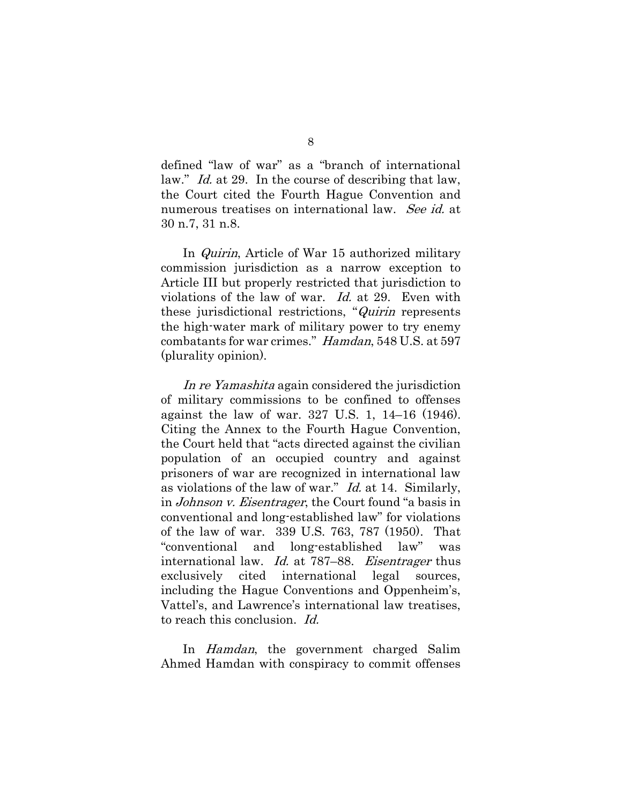defined "law of war" as a "branch of international law." *Id.* at 29. In the course of describing that law, the Court cited the Fourth Hague Convention and numerous treatises on international law. See id. at 30 n.7, 31 n.8.

In Quirin, Article of War 15 authorized military commission jurisdiction as a narrow exception to Article III but properly restricted that jurisdiction to violations of the law of war. Id. at 29. Even with these jurisdictional restrictions, "Quirin represents the high-water mark of military power to try enemy combatants for war crimes." Hamdan, 548 U.S. at 597 (plurality opinion).

In re Yamashita again considered the jurisdiction of military commissions to be confined to offenses against the law of war. 327 U.S. 1, 14–16 (1946). Citing the Annex to the Fourth Hague Convention, the Court held that "acts directed against the civilian population of an occupied country and against prisoners of war are recognized in international law as violations of the law of war." Id. at 14. Similarly, in Johnson v. Eisentrager, the Court found "a basis in conventional and long-established law" for violations of the law of war. 339 U.S. 763, 787 (1950). That "conventional and long-established law" was international law. *Id.* at 787–88. *Eisentrager* thus exclusively cited international legal sources, including the Hague Conventions and Oppenheim's, Vattel's, and Lawrence's international law treatises, to reach this conclusion. Id.

In Hamdan, the government charged Salim Ahmed Hamdan with conspiracy to commit offenses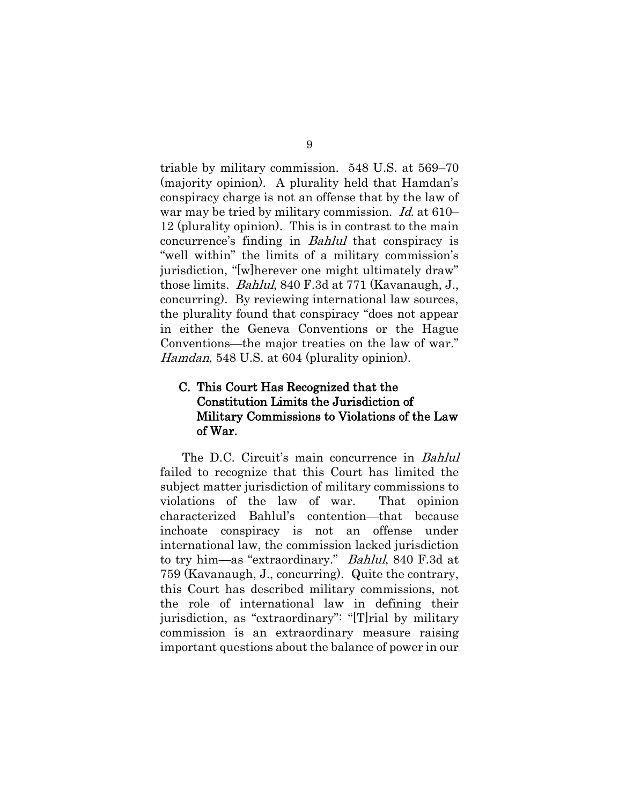triable by military commission. 548 U.S. at 569–70 (majority opinion). A plurality held that Hamdan's conspiracy charge is not an offense that by the law of war may be tried by military commission. Id. at 610– 12 (plurality opinion). This is in contrast to the main concurrence's finding in Bahlul that conspiracy is "well within" the limits of a military commission's jurisdiction, "[w]herever one might ultimately draw" those limits. Bahlul, 840 F.3d at 771 (Kavanaugh, J., concurring). By reviewing international law sources, the plurality found that conspiracy "does not appear in either the Geneva Conventions or the Hague Conventions—the major treaties on the law of war." Hamdan, 548 U.S. at 604 (plurality opinion).

## C. This Court Has Recognized that the Constitution Limits the Jurisdiction of Military Commissions to Violations of the Law of War.

The D.C. Circuit's main concurrence in Bahlul failed to recognize that this Court has limited the subject matter jurisdiction of military commissions to violations of the law of war. That opinion characterized Bahlul's contention—that because inchoate conspiracy is not an offense under international law, the commission lacked jurisdiction to try him—as "extraordinary." Bahlul, 840 F.3d at 759 (Kavanaugh, J., concurring). Quite the contrary, this Court has described military commissions, not the role of international law in defining their jurisdiction, as "extraordinary": "[T]rial by military commission is an extraordinary measure raising important questions about the balance of power in our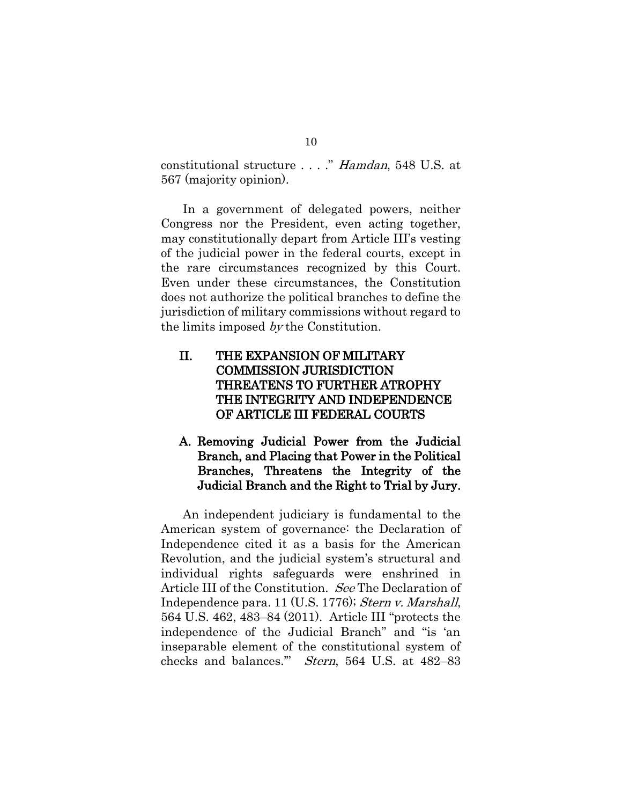constitutional structure . . . ." Hamdan, 548 U.S. at 567 (majority opinion).

In a government of delegated powers, neither Congress nor the President, even acting together, may constitutionally depart from Article III's vesting of the judicial power in the federal courts, except in the rare circumstances recognized by this Court. Even under these circumstances, the Constitution does not authorize the political branches to define the jurisdiction of military commissions without regard to the limits imposed by the Constitution.

## II. THE EXPANSION OF MILITARY COMMISSION JURISDICTION THREATENS TO FURTHER ATROPHY THE INTEGRITY AND INDEPENDENCE OF ARTICLE III FEDERAL COURTS

## A. Removing Judicial Power from the Judicial Branch, and Placing that Power in the Political Branches, Threatens the Integrity of the Judicial Branch and the Right to Trial by Jury.

An independent judiciary is fundamental to the American system of governance: the Declaration of Independence cited it as a basis for the American Revolution, and the judicial system's structural and individual rights safeguards were enshrined in Article III of the Constitution. See The Declaration of Independence para. 11 (U.S. 1776); Stern v. Marshall, 564 U.S. 462, 483–84 (2011). Article III "protects the independence of the Judicial Branch" and "is 'an inseparable element of the constitutional system of checks and balances.'" Stern, 564 U.S. at 482–83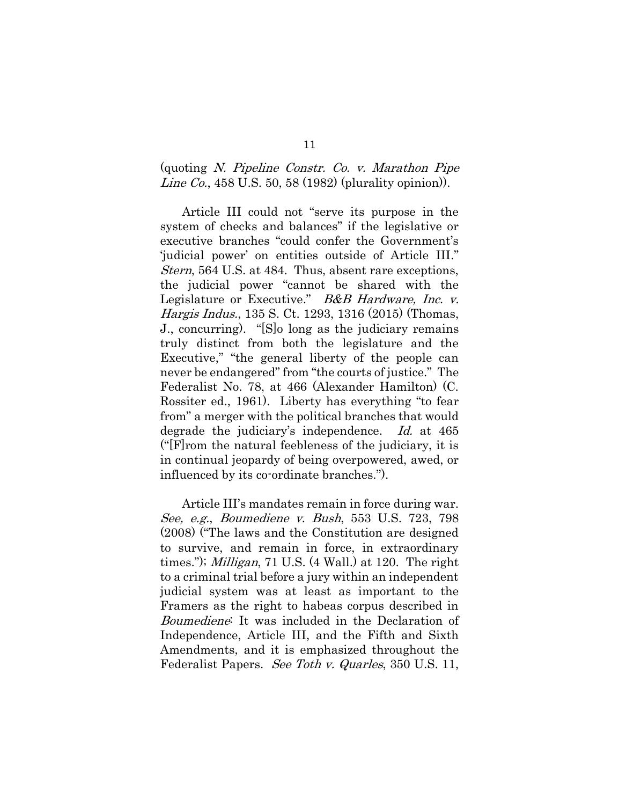#### (quoting N. Pipeline Constr. Co. v. Marathon Pipe Line Co., 458 U.S. 50, 58 (1982) (plurality opinion)).

Article III could not "serve its purpose in the system of checks and balances" if the legislative or executive branches "could confer the Government's 'judicial power' on entities outside of Article III." Stern, 564 U.S. at 484. Thus, absent rare exceptions, the judicial power "cannot be shared with the Legislature or Executive." B&B Hardware, Inc. v. Hargis Indus., 135 S. Ct. 1293, 1316 (2015) (Thomas, J., concurring). "[S]o long as the judiciary remains truly distinct from both the legislature and the Executive," "the general liberty of the people can never be endangered" from "the courts of justice." The Federalist No. 78, at 466 (Alexander Hamilton) (C. Rossiter ed., 1961). Liberty has everything "to fear from" a merger with the political branches that would degrade the judiciary's independence. Id. at 465 ("[F]rom the natural feebleness of the judiciary, it is in continual jeopardy of being overpowered, awed, or influenced by its co-ordinate branches.").

Article III's mandates remain in force during war. See, e.g., Boumediene v. Bush, 553 U.S. 723, 798 (2008) ("The laws and the Constitution are designed to survive, and remain in force, in extraordinary times."); Milligan, 71 U.S. (4 Wall.) at 120. The right to a criminal trial before a jury within an independent judicial system was at least as important to the Framers as the right to habeas corpus described in Boumediene: It was included in the Declaration of Independence, Article III, and the Fifth and Sixth Amendments, and it is emphasized throughout the Federalist Papers. See Toth v. Quarles, 350 U.S. 11,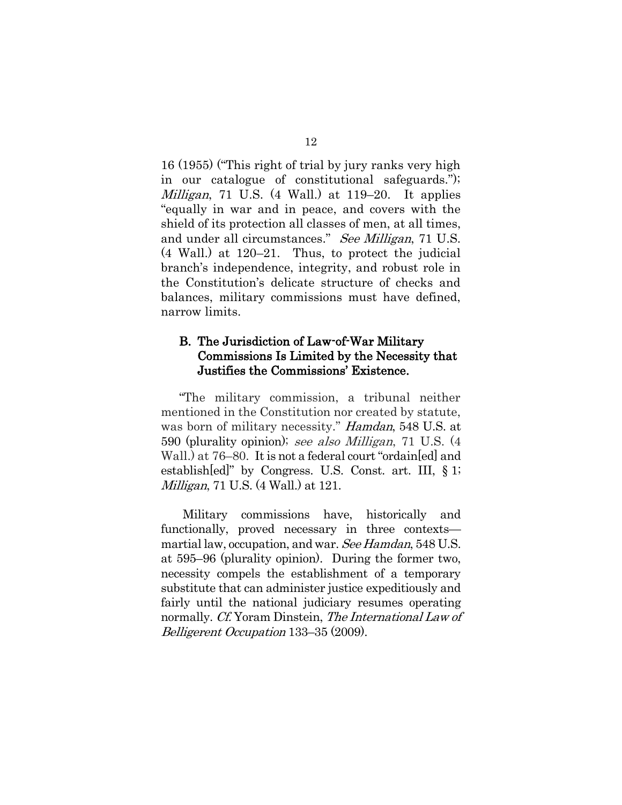16 (1955) ("This right of trial by jury ranks very high in our catalogue of constitutional safeguards."); *Milligan*, 71 U.S.  $(4 \text{ Wall.})$  at 119–20. It applies "equally in war and in peace, and covers with the shield of its protection all classes of men, at all times, and under all circumstances." See Milligan, 71 U.S. (4 Wall.) at 120–21. Thus, to protect the judicial branch's independence, integrity, and robust role in the Constitution's delicate structure of checks and balances, military commissions must have defined, narrow limits.

#### B. The Jurisdiction of Law-of-War Military Commissions Is Limited by the Necessity that Justifies the Commissions' Existence.

"The military commission, a tribunal neither mentioned in the Constitution nor created by statute, was born of military necessity." Hamdan, 548 U.S. at 590 (plurality opinion); see also Milligan, 71 U.S. (4 Wall.) at 76–80. It is not a federal court "ordain[ed] and establish[ed]" by Congress. U.S. Const. art. III, § 1; *Milligan*, 71 U.S. (4 Wall.) at 121.

Military commissions have, historically and functionally, proved necessary in three contexts martial law, occupation, and war. See Hamdan, 548 U.S. at 595–96 (plurality opinion). During the former two, necessity compels the establishment of a temporary substitute that can administer justice expeditiously and fairly until the national judiciary resumes operating normally. *Cf.* Yoram Dinstein, *The International Law of* Belligerent Occupation 133–35 (2009).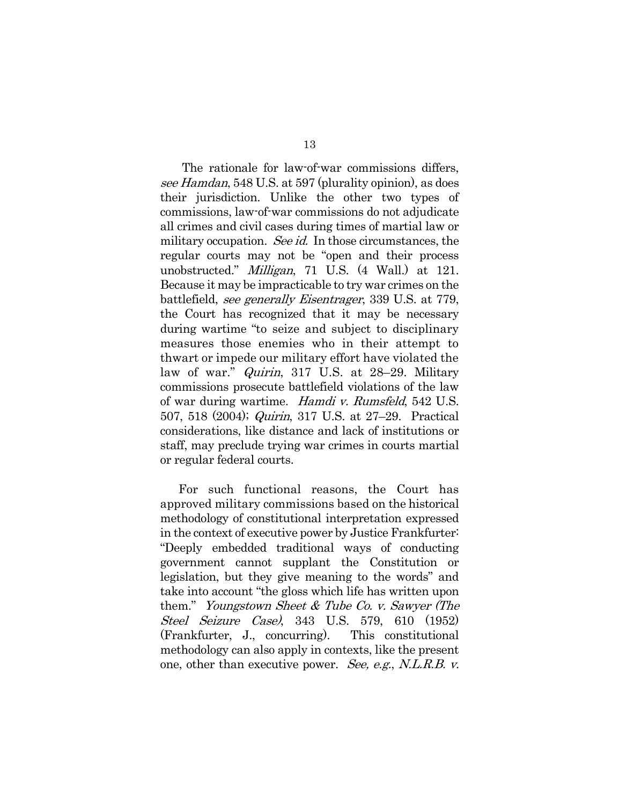The rationale for law-of-war commissions differs, see Hamdan, 548 U.S. at 597 (plurality opinion), as does their jurisdiction. Unlike the other two types of commissions, law-of-war commissions do not adjudicate all crimes and civil cases during times of martial law or military occupation. *See id.* In those circumstances, the regular courts may not be "open and their process unobstructed." Milligan, 71 U.S. (4 Wall.) at 121. Because it may be impracticable to try war crimes on the battlefield, see generally Eisentrager, 339 U.S. at 779, the Court has recognized that it may be necessary during wartime "to seize and subject to disciplinary measures those enemies who in their attempt to thwart or impede our military effort have violated the law of war." Quirin, 317 U.S. at 28–29. Military commissions prosecute battlefield violations of the law of war during wartime. Hamdi v. Rumsfeld, 542 U.S. 507, 518 (2004); Quirin, 317 U.S. at 27–29. Practical considerations, like distance and lack of institutions or staff, may preclude trying war crimes in courts martial or regular federal courts.

For such functional reasons, the Court has approved military commissions based on the historical methodology of constitutional interpretation expressed in the context of executive power by Justice Frankfurter: "Deeply embedded traditional ways of conducting government cannot supplant the Constitution or legislation, but they give meaning to the words" and take into account "the gloss which life has written upon them." Youngstown Sheet & Tube Co. v. Sawyer (The Steel Seizure Case), 343 U.S. 579, 610 (1952) (Frankfurter, J., concurring). This constitutional methodology can also apply in contexts, like the present one, other than executive power. See, e.g., N.L.R.B. v.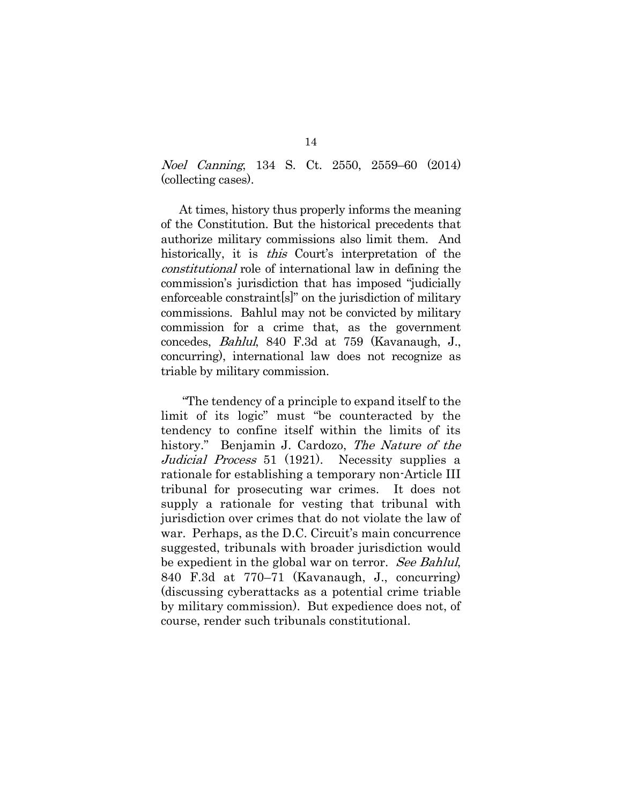Noel Canning, 134 S. Ct. 2550, 2559–60 (2014) (collecting cases).

At times, history thus properly informs the meaning of the Constitution. But the historical precedents that authorize military commissions also limit them. And historically, it is *this* Court's interpretation of the constitutional role of international law in defining the commission's jurisdiction that has imposed "judicially enforceable constraint[s]" on the jurisdiction of military commissions. Bahlul may not be convicted by military commission for a crime that, as the government concedes, Bahlul, 840 F.3d at 759 (Kavanaugh, J., concurring), international law does not recognize as triable by military commission.

"The tendency of a principle to expand itself to the limit of its logic" must "be counteracted by the tendency to confine itself within the limits of its history." Benjamin J. Cardozo, The Nature of the Judicial Process 51 (1921). Necessity supplies a rationale for establishing a temporary non-Article III tribunal for prosecuting war crimes. It does not supply a rationale for vesting that tribunal with jurisdiction over crimes that do not violate the law of war. Perhaps, as the D.C. Circuit's main concurrence suggested, tribunals with broader jurisdiction would be expedient in the global war on terror. See Bahlul, 840 F.3d at 770–71 (Kavanaugh, J., concurring) (discussing cyberattacks as a potential crime triable by military commission). But expedience does not, of course, render such tribunals constitutional.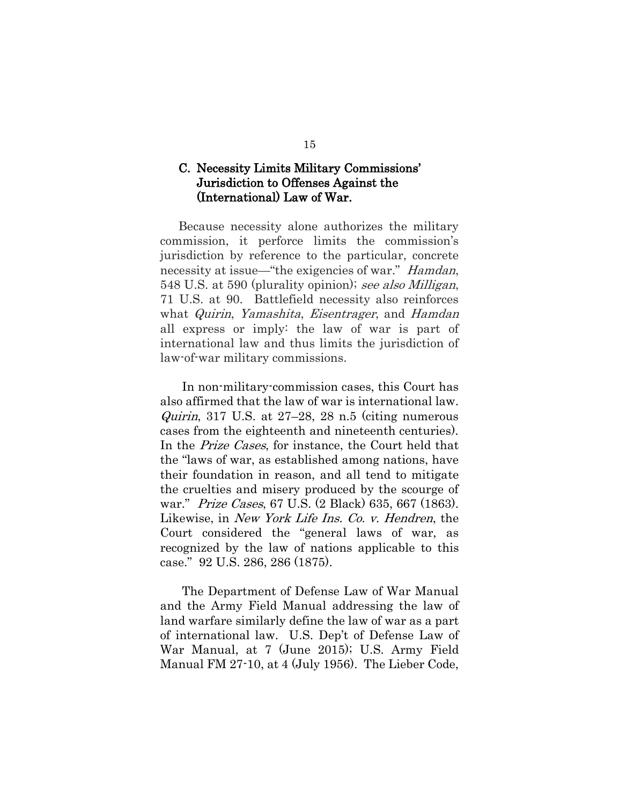#### C. Necessity Limits Military Commissions' Jurisdiction to Offenses Against the (International) Law of War.

Because necessity alone authorizes the military commission, it perforce limits the commission's jurisdiction by reference to the particular, concrete necessity at issue—"the exigencies of war." *Hamdan*, 548 U.S. at 590 (plurality opinion); see also Milligan, 71 U.S. at 90. Battlefield necessity also reinforces what Quirin, Yamashita, Eisentrager, and Hamdan all express or imply: the law of war is part of international law and thus limits the jurisdiction of law-of-war military commissions.

In non-military-commission cases, this Court has also affirmed that the law of war is international law. *Quirin*, 317 U.S. at  $27-28$ , 28 n.5 (citing numerous cases from the eighteenth and nineteenth centuries). In the Prize Cases, for instance, the Court held that the "laws of war, as established among nations, have their foundation in reason, and all tend to mitigate the cruelties and misery produced by the scourge of war." Prize Cases, 67 U.S. (2 Black) 635, 667 (1863). Likewise, in *New York Life Ins. Co. v. Hendren*, the Court considered the "general laws of war, as recognized by the law of nations applicable to this case." 92 U.S. 286, 286 (1875).

The Department of Defense Law of War Manual and the Army Field Manual addressing the law of land warfare similarly define the law of war as a part of international law. U.S. Dep't of Defense Law of War Manual, at 7 (June 2015); U.S. Army Field Manual FM 27-10, at 4 (July 1956). The Lieber Code,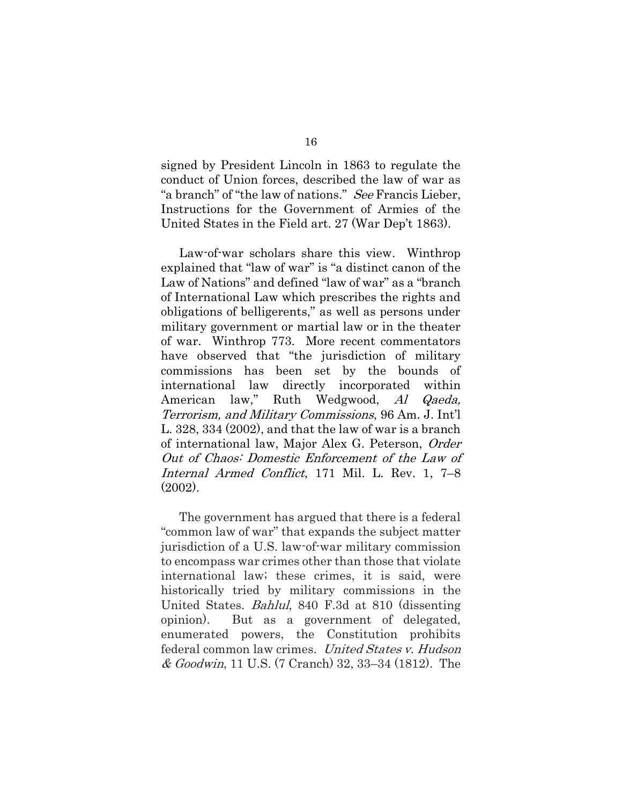signed by President Lincoln in 1863 to regulate the conduct of Union forces, described the law of war as "a branch" of "the law of nations." See Francis Lieber, Instructions for the Government of Armies of the United States in the Field art. 27 (War Dep't 1863).

Law-of-war scholars share this view. Winthrop explained that "law of war" is "a distinct canon of the Law of Nations" and defined "law of war" as a "branch of International Law which prescribes the rights and obligations of belligerents," as well as persons under military government or martial law or in the theater of war. Winthrop 773. More recent commentators have observed that "the jurisdiction of military commissions has been set by the bounds of international law directly incorporated within American law," Ruth Wedgwood, Al Qaeda, Terrorism, and Military Commissions, 96 Am. J. Int'l L. 328, 334 (2002), and that the law of war is a branch of international law, Major Alex G. Peterson, Order Out of Chaos: Domestic Enforcement of the Law of Internal Armed Conflict, 171 Mil. L. Rev. 1, 7–8 (2002).

The government has argued that there is a federal "common law of war" that expands the subject matter jurisdiction of a U.S. law-of-war military commission to encompass war crimes other than those that violate international law; these crimes, it is said, were historically tried by military commissions in the United States. Bahlul, 840 F.3d at 810 (dissenting opinion). But as a government of delegated, enumerated powers, the Constitution prohibits federal common law crimes. United States v. Hudson & Goodwin, 11 U.S. (7 Cranch) 32, 33–34 (1812). The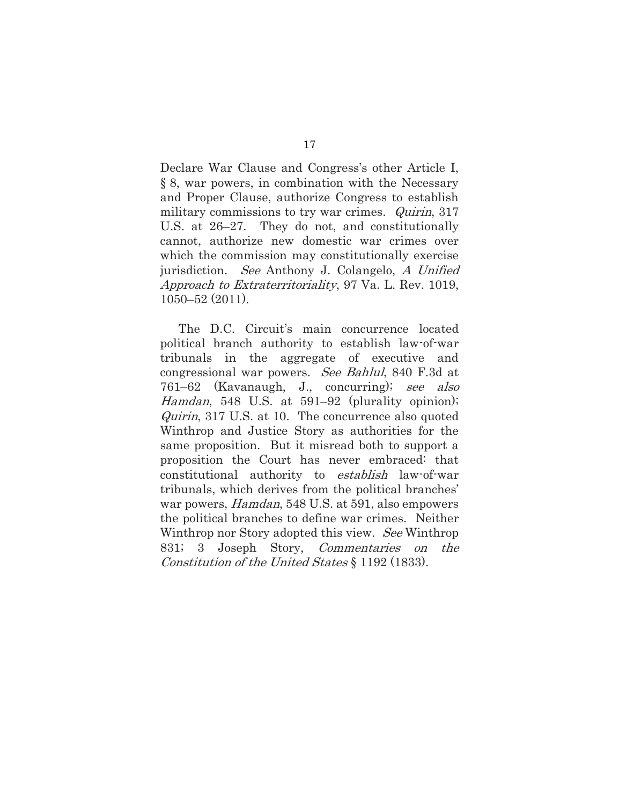Declare War Clause and Congress's other Article I, § 8, war powers, in combination with the Necessary and Proper Clause, authorize Congress to establish military commissions to try war crimes. Quirin, 317 U.S. at 26–27. They do not, and constitutionally cannot, authorize new domestic war crimes over which the commission may constitutionally exercise jurisdiction. See Anthony J. Colangelo, A Unified Approach to Extraterritoriality, 97 Va. L. Rev. 1019, 1050–52 (2011).

The D.C. Circuit's main concurrence located political branch authority to establish law-of-war tribunals in the aggregate of executive and congressional war powers. See Bahlul, 840 F.3d at 761–62 (Kavanaugh, J., concurring); see also Hamdan, 548 U.S. at 591–92 (plurality opinion); Quirin, 317 U.S. at 10. The concurrence also quoted Winthrop and Justice Story as authorities for the same proposition. But it misread both to support a proposition the Court has never embraced: that constitutional authority to establish law-of-war tribunals, which derives from the political branches' war powers, *Hamdan*, 548 U.S. at 591, also empowers the political branches to define war crimes. Neither Winthrop nor Story adopted this view. See Winthrop 831; 3 Joseph Story, Commentaries on the Constitution of the United States § 1192 (1833).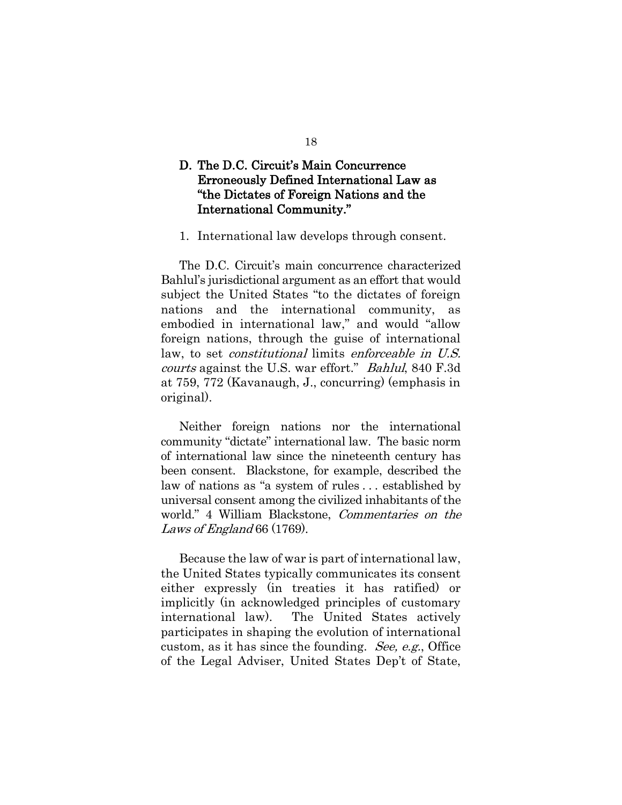## D. The D.C. Circuit's Main Concurrence Erroneously Defined International Law as "the Dictates of Foreign Nations and the International Community."

#### 1. International law develops through consent.

The D.C. Circuit's main concurrence characterized Bahlul's jurisdictional argument as an effort that would subject the United States "to the dictates of foreign nations and the international community, as embodied in international law," and would "allow foreign nations, through the guise of international law, to set *constitutional* limits enforceable in U.S. courts against the U.S. war effort." Bahlul, 840 F.3d at 759, 772 (Kavanaugh, J., concurring) (emphasis in original).

Neither foreign nations nor the international community "dictate" international law. The basic norm of international law since the nineteenth century has been consent. Blackstone, for example, described the law of nations as "a system of rules . . . established by universal consent among the civilized inhabitants of the world." 4 William Blackstone, Commentaries on the Laws of England 66 (1769).

Because the law of war is part of international law, the United States typically communicates its consent either expressly (in treaties it has ratified) or implicitly (in acknowledged principles of customary international law). The United States actively participates in shaping the evolution of international custom, as it has since the founding. See, e.g., Office of the Legal Adviser, United States Dep't of State,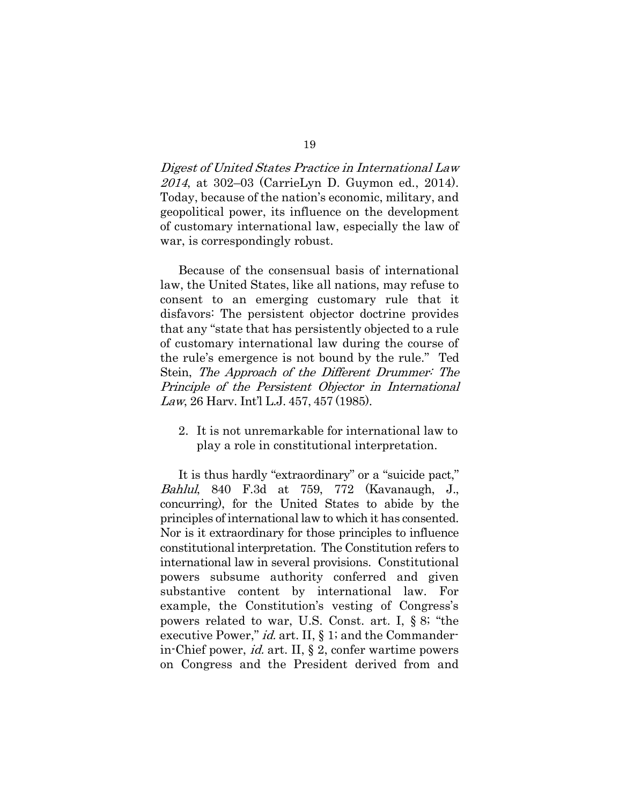Digest of United States Practice in International Law 2014, at 302–03 (CarrieLyn D. Guymon ed., 2014). Today, because of the nation's economic, military, and geopolitical power, its influence on the development of customary international law, especially the law of war, is correspondingly robust.

Because of the consensual basis of international law, the United States, like all nations, may refuse to consent to an emerging customary rule that it disfavors: The persistent objector doctrine provides that any "state that has persistently objected to a rule of customary international law during the course of the rule's emergence is not bound by the rule." Ted Stein, The Approach of the Different Drummer: The Principle of the Persistent Objector in International Law, 26 Harv. Int'l L.J. 457, 457 (1985).

2. It is not unremarkable for international law to play a role in constitutional interpretation.

It is thus hardly "extraordinary" or a "suicide pact," Bahlul, 840 F.3d at 759, 772 (Kavanaugh, J., concurring), for the United States to abide by the principles of international law to which it has consented. Nor is it extraordinary for those principles to influence constitutional interpretation. The Constitution refers to international law in several provisions. Constitutional powers subsume authority conferred and given substantive content by international law. For example, the Constitution's vesting of Congress's powers related to war, U.S. Const. art. I, § 8; "the executive Power," *id.* art. II, § 1; and the Commanderin-Chief power, id. art. II, § 2, confer wartime powers on Congress and the President derived from and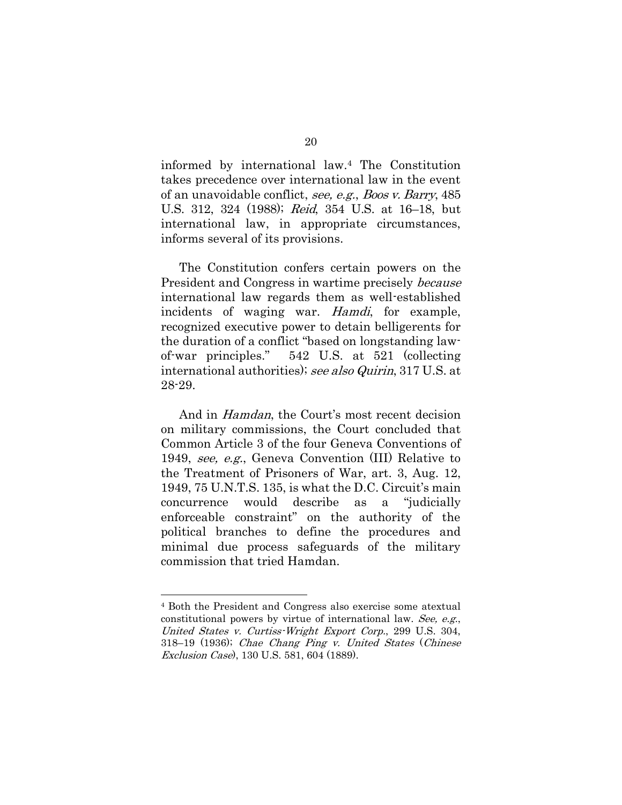informed by international law.<sup>4</sup> The Constitution takes precedence over international law in the event of an unavoidable conflict, see, e.g., Boos v. Barry, 485 U.S. 312, 324 (1988); Reid, 354 U.S. at 16–18, but international law, in appropriate circumstances, informs several of its provisions.

The Constitution confers certain powers on the President and Congress in wartime precisely *because* international law regards them as well-established incidents of waging war. Hamdi, for example, recognized executive power to detain belligerents for the duration of a conflict "based on longstanding lawof-war principles." 542 U.S. at 521 (collecting international authorities); see also Quirin, 317 U.S. at 28-29.

And in Hamdan, the Court's most recent decision on military commissions, the Court concluded that Common Article 3 of the four Geneva Conventions of 1949, see, e.g., Geneva Convention (III) Relative to the Treatment of Prisoners of War, art. 3, Aug. 12, 1949, 75 U.N.T.S. 135, is what the D.C. Circuit's main concurrence would describe as a "judicially enforceable constraint" on the authority of the political branches to define the procedures and minimal due process safeguards of the military commission that tried Hamdan.

<sup>4</sup> Both the President and Congress also exercise some atextual constitutional powers by virtue of international law. See, e.g., United States v. Curtiss-Wright Export Corp., 299 U.S. 304, 318–19 (1936); Chae Chang Ping v. United States (Chinese Exclusion Case), 130 U.S. 581, 604 (1889).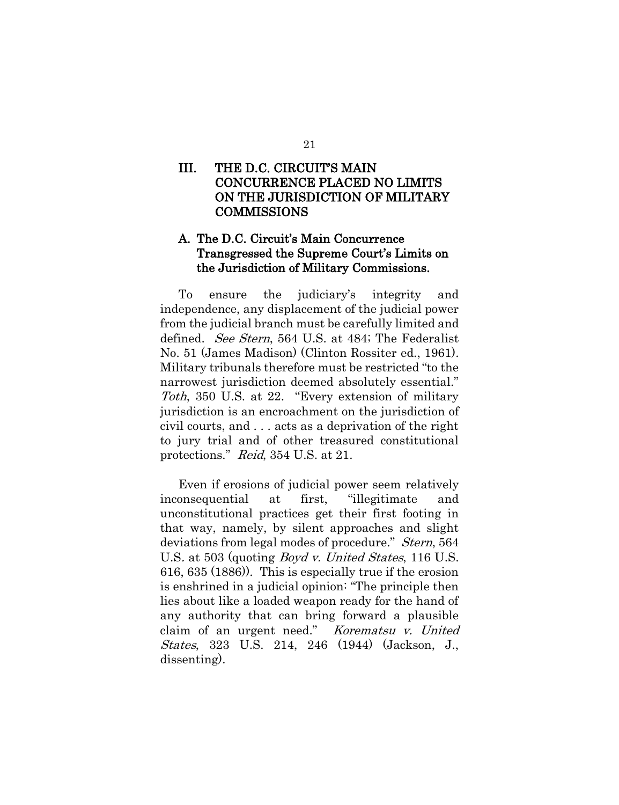### III. THE D.C. CIRCUIT'S MAIN CONCURRENCE PLACED NO LIMITS ON THE JURISDICTION OF MILITARY COMMISSIONS

## A. The D.C. Circuit's Main Concurrence Transgressed the Supreme Court's Limits on the Jurisdiction of Military Commissions.

To ensure the judiciary's integrity and independence, any displacement of the judicial power from the judicial branch must be carefully limited and defined. *See Stern*, 564 U.S. at 484; The Federalist No. 51 (James Madison) (Clinton Rossiter ed., 1961). Military tribunals therefore must be restricted "to the narrowest jurisdiction deemed absolutely essential." Toth, 350 U.S. at 22. "Every extension of military jurisdiction is an encroachment on the jurisdiction of civil courts, and . . . acts as a deprivation of the right to jury trial and of other treasured constitutional protections." Reid, 354 U.S. at 21.

Even if erosions of judicial power seem relatively inconsequential at first, "illegitimate and unconstitutional practices get their first footing in that way, namely, by silent approaches and slight deviations from legal modes of procedure." *Stern*, 564 U.S. at 503 (quoting *Boyd v. United States*, 116 U.S. 616, 635 (1886)). This is especially true if the erosion is enshrined in a judicial opinion: "The principle then lies about like a loaded weapon ready for the hand of any authority that can bring forward a plausible claim of an urgent need." Korematsu v. United States, 323 U.S. 214, 246 (1944) (Jackson, J., dissenting).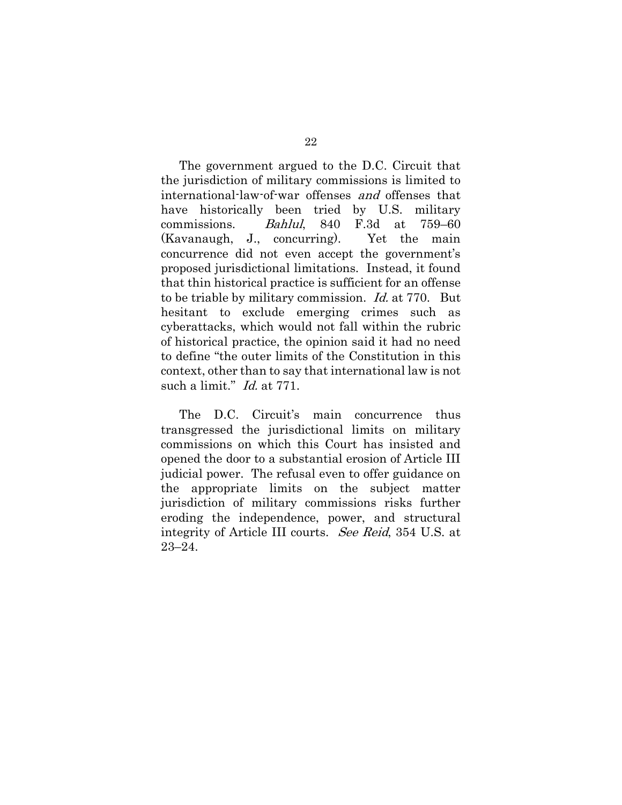The government argued to the D.C. Circuit that the jurisdiction of military commissions is limited to international-law-of-war offenses and offenses that have historically been tried by U.S. military commissions. Bahlul, 840 F.3d at 759–60 (Kavanaugh, J., concurring). Yet the main concurrence did not even accept the government's proposed jurisdictional limitations. Instead, it found that thin historical practice is sufficient for an offense to be triable by military commission. Id. at 770. But hesitant to exclude emerging crimes such as cyberattacks, which would not fall within the rubric of historical practice, the opinion said it had no need to define "the outer limits of the Constitution in this context, other than to say that international law is not such a limit." *Id.* at 771.

The D.C. Circuit's main concurrence thus transgressed the jurisdictional limits on military commissions on which this Court has insisted and opened the door to a substantial erosion of Article III judicial power. The refusal even to offer guidance on the appropriate limits on the subject matter jurisdiction of military commissions risks further eroding the independence, power, and structural integrity of Article III courts. See Reid, 354 U.S. at 23–24.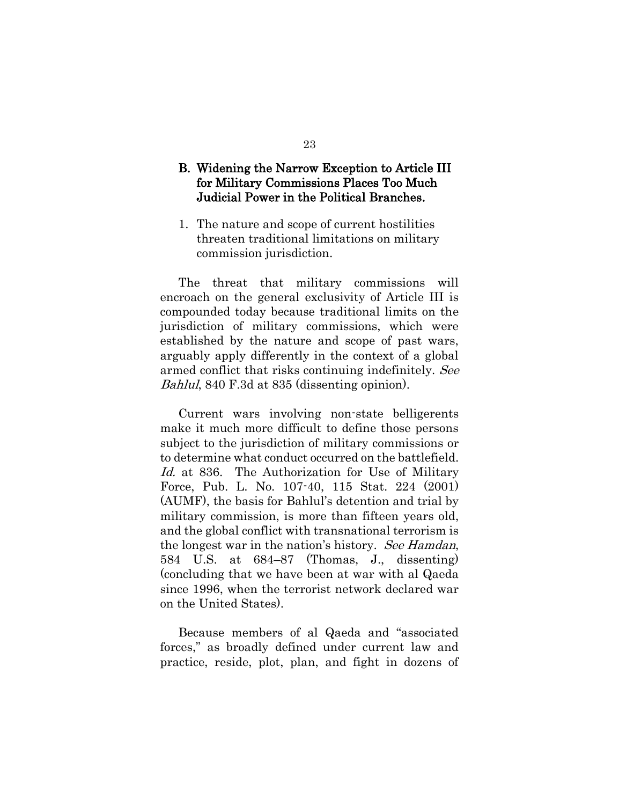#### B. Widening the Narrow Exception to Article III for Military Commissions Places Too Much Judicial Power in the Political Branches.

1. The nature and scope of current hostilities threaten traditional limitations on military commission jurisdiction.

The threat that military commissions will encroach on the general exclusivity of Article III is compounded today because traditional limits on the jurisdiction of military commissions, which were established by the nature and scope of past wars, arguably apply differently in the context of a global armed conflict that risks continuing indefinitely. See Bahlul, 840 F.3d at 835 (dissenting opinion).

Current wars involving non-state belligerents make it much more difficult to define those persons subject to the jurisdiction of military commissions or to determine what conduct occurred on the battlefield. Id. at 836. The Authorization for Use of Military Force, Pub. L. No. 107-40, 115 Stat. 224 (2001) (AUMF), the basis for Bahlul's detention and trial by military commission, is more than fifteen years old, and the global conflict with transnational terrorism is the longest war in the nation's history. See Hamdan, 584 U.S. at 684–87 (Thomas, J., dissenting) (concluding that we have been at war with al Qaeda since 1996, when the terrorist network declared war on the United States).

Because members of al Qaeda and "associated forces," as broadly defined under current law and practice, reside, plot, plan, and fight in dozens of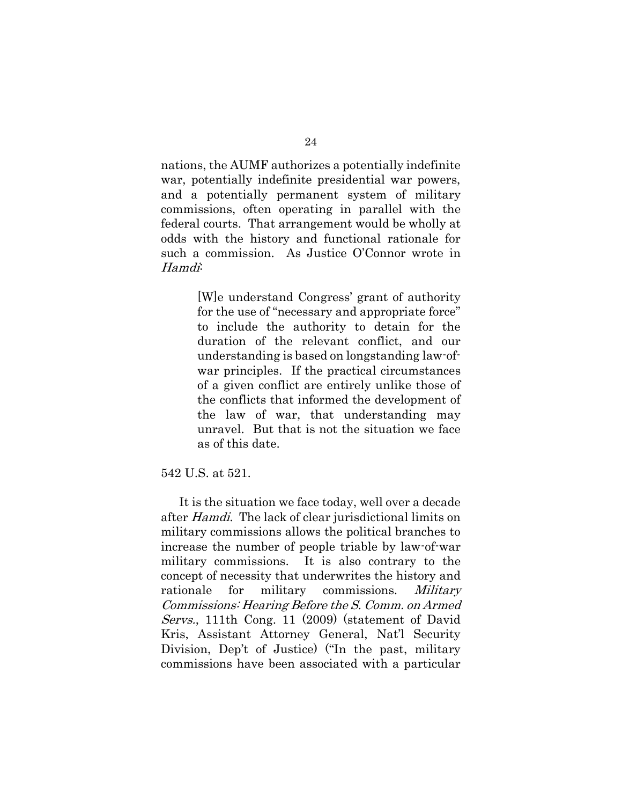nations, the AUMF authorizes a potentially indefinite war, potentially indefinite presidential war powers, and a potentially permanent system of military commissions, often operating in parallel with the federal courts. That arrangement would be wholly at odds with the history and functional rationale for such a commission. As Justice O'Connor wrote in Hamdi:

> [W]e understand Congress' grant of authority for the use of "necessary and appropriate force" to include the authority to detain for the duration of the relevant conflict, and our understanding is based on longstanding law-ofwar principles. If the practical circumstances of a given conflict are entirely unlike those of the conflicts that informed the development of the law of war, that understanding may unravel. But that is not the situation we face as of this date.

#### 542 U.S. at 521.

It is the situation we face today, well over a decade after Hamdi. The lack of clear jurisdictional limits on military commissions allows the political branches to increase the number of people triable by law-of-war military commissions. It is also contrary to the concept of necessity that underwrites the history and rationale for military commissions. Military Commissions: Hearing Before the S. Comm. on Armed Servs., 111th Cong. 11 (2009) (statement of David Kris, Assistant Attorney General, Nat'l Security Division, Dep't of Justice) ("In the past, military commissions have been associated with a particular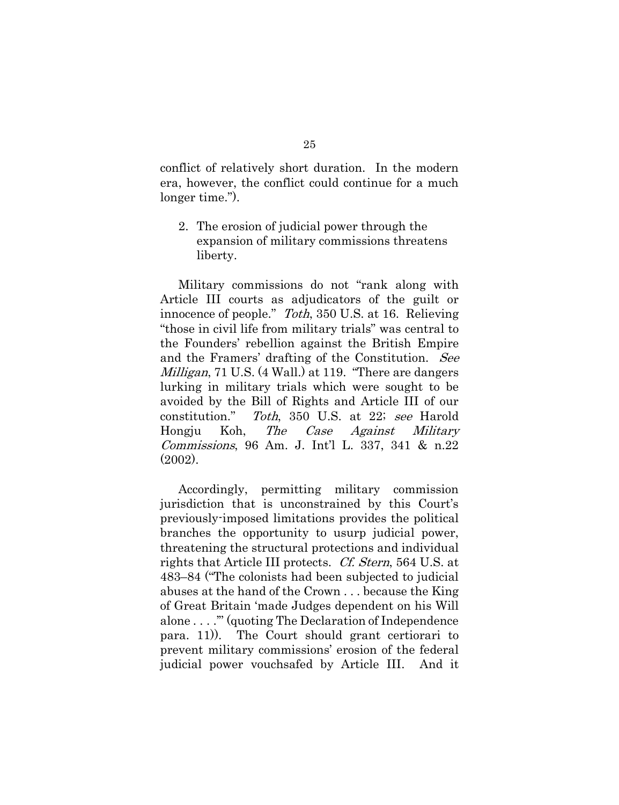conflict of relatively short duration. In the modern era, however, the conflict could continue for a much longer time.").

2. The erosion of judicial power through the expansion of military commissions threatens liberty.

Military commissions do not "rank along with Article III courts as adjudicators of the guilt or innocence of people." Toth, 350 U.S. at 16. Relieving "those in civil life from military trials" was central to the Founders' rebellion against the British Empire and the Framers' drafting of the Constitution. See *Milligan*, 71 U.S. (4 Wall.) at 119. "There are dangers lurking in military trials which were sought to be avoided by the Bill of Rights and Article III of our constitution." Toth, 350 U.S. at 22; see Harold Hongju Koh, The Case Against Military Commissions, 96 Am. J. Int'l L. 337, 341 & n.22 (2002).

Accordingly, permitting military commission jurisdiction that is unconstrained by this Court's previously-imposed limitations provides the political branches the opportunity to usurp judicial power, threatening the structural protections and individual rights that Article III protects. Cf. Stern, 564 U.S. at 483–84 ("The colonists had been subjected to judicial abuses at the hand of the Crown . . . because the King of Great Britain 'made Judges dependent on his Will alone . . . .'" (quoting The Declaration of Independence para. 11)). The Court should grant certiorari to prevent military commissions' erosion of the federal judicial power vouchsafed by Article III. And it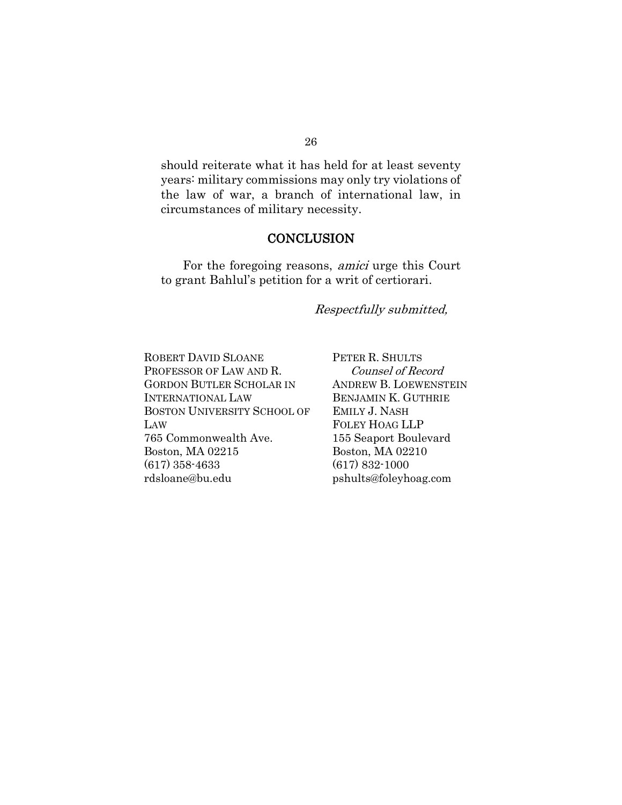## should reiterate what it has held for at least seventy years: military commissions may only try violations of the law of war, a branch of international law, in circumstances of military necessity.

#### **CONCLUSION**

For the foregoing reasons, amici urge this Court to grant Bahlul's petition for a writ of certiorari.

#### Respectfully submitted,

ROBERT DAVID SLOANE PROFESSOR OF LAW AND R. GORDON BUTLER SCHOLAR IN INTERNATIONAL LAW BOSTON UNIVERSITY SCHOOL OF LAW 765 Commonwealth Ave. Boston, MA 02215 (617) 358-4633 rdsloane@bu.edu

PETER R. SHULTS Counsel of Record ANDREW B. LOEWENSTEIN BENJAMIN K. GUTHRIE EMILY J. NASH FOLEY HOAG LLP 155 Seaport Boulevard Boston, MA 02210 (617) 832-1000 pshults@foleyhoag.com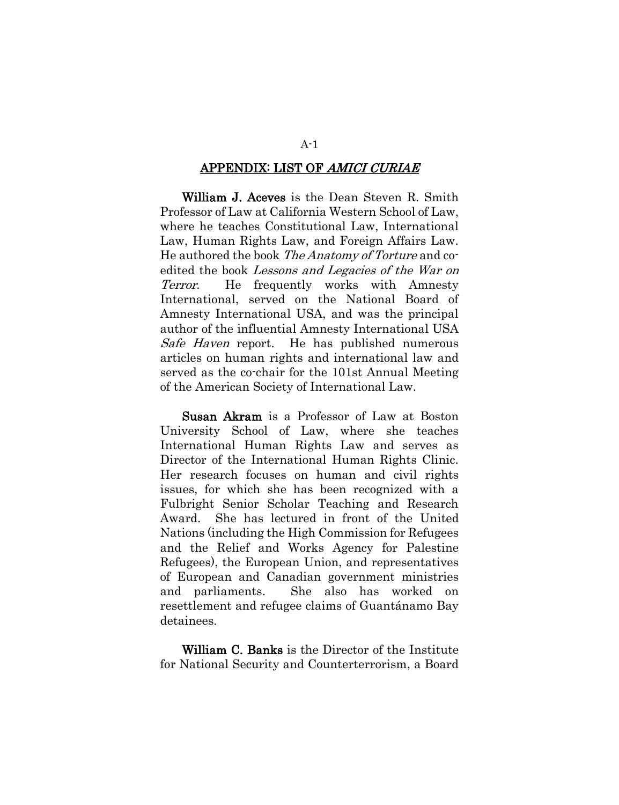#### APPENDIX: LIST OF AMICI CURIAE

William J. Aceves is the Dean Steven R. Smith Professor of Law at California Western School of Law, where he teaches Constitutional Law, International Law, Human Rights Law, and Foreign Affairs Law. He authored the book The Anatomy of Torture and coedited the book Lessons and Legacies of the War on Terror. He frequently works with Amnesty International, served on the National Board of Amnesty International USA, and was the principal author of the influential Amnesty International USA Safe Haven report. He has published numerous articles on human rights and international law and served as the co-chair for the 101st Annual Meeting of the American Society of International Law.

Susan Akram is a Professor of Law at Boston University School of Law, where she teaches International Human Rights Law and serves as Director of the International Human Rights Clinic. Her research focuses on human and civil rights issues, for which she has been recognized with a Fulbright Senior Scholar Teaching and Research Award. She has lectured in front of the United Nations (including the High Commission for Refugees and the Relief and Works Agency for Palestine Refugees), the European Union, and representatives of European and Canadian government ministries and parliaments. She also has worked on resettlement and refugee claims of Guantánamo Bay detainees.

William C. Banks is the Director of the Institute for National Security and Counterterrorism, a Board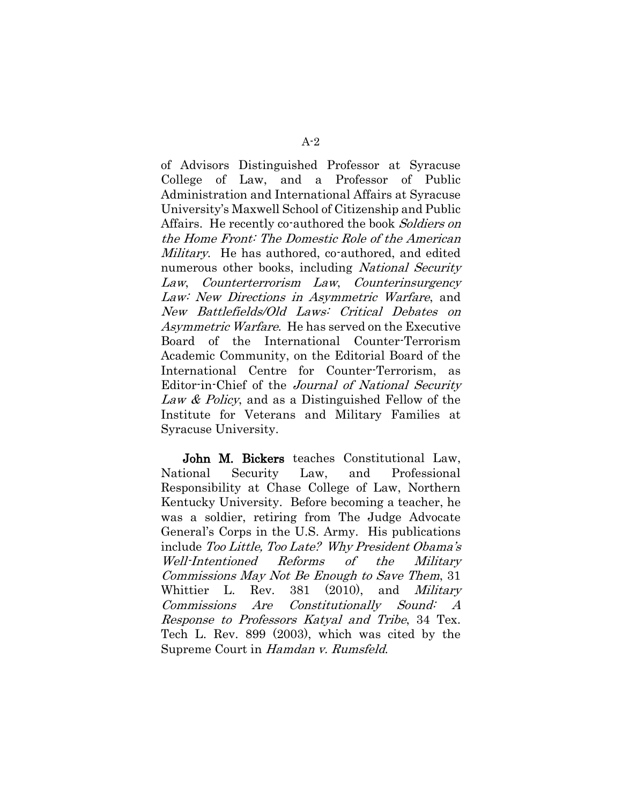of Advisors Distinguished Professor at Syracuse College of Law, and a Professor of Public Administration and International Affairs at Syracuse University's Maxwell School of Citizenship and Public Affairs. He recently co-authored the book Soldiers on the Home Front: The Domestic Role of the American Military. He has authored, co-authored, and edited numerous other books, including National Security Law, Counterterrorism Law, Counterinsurgency Law: New Directions in Asymmetric Warfare, and New Battlefields/Old Laws: Critical Debates on Asymmetric Warfare. He has served on the Executive Board of the International Counter-Terrorism Academic Community, on the Editorial Board of the International Centre for Counter-Terrorism, as Editor-in-Chief of the Journal of National Security Law & Policy, and as a Distinguished Fellow of the Institute for Veterans and Military Families at Syracuse University.

John M. Bickers teaches Constitutional Law, National Security Law, and Professional Responsibility at Chase College of Law, Northern Kentucky University. Before becoming a teacher, he was a soldier, retiring from The Judge Advocate General's Corps in the U.S. Army. His publications include Too Little, Too Late? Why President Obama'<sup>s</sup> Well-Intentioned Reforms of the Military Commissions May Not Be Enough to Save Them, 31 Whittier L. Rev. 381 (2010), and *Military* Commissions Are Constitutionally Sound: A Response to Professors Katyal and Tribe, 34 Tex. Tech L. Rev. 899 (2003), which was cited by the Supreme Court in Hamdan v. Rumsfeld.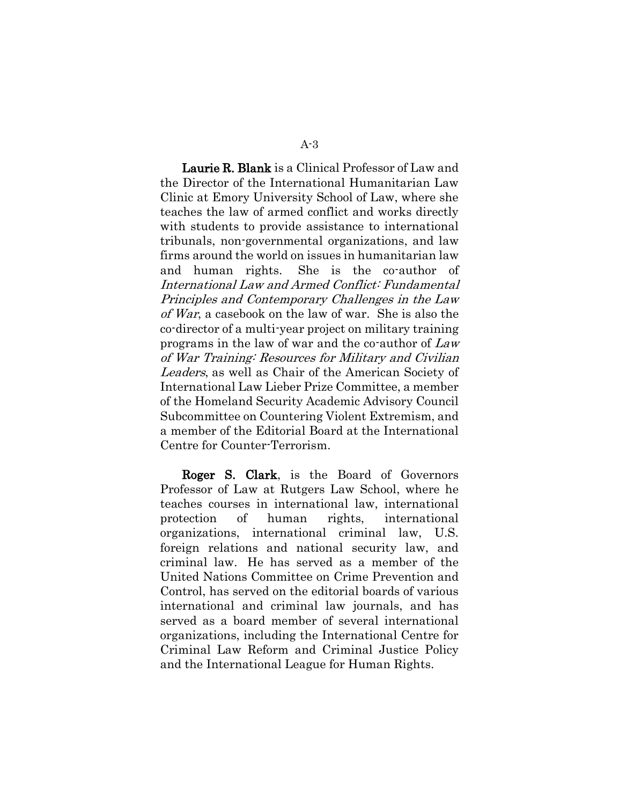Laurie R. Blank is a Clinical Professor of Law and the Director of the International Humanitarian Law Clinic at Emory University School of Law, where she teaches the law of armed conflict and works directly with students to provide assistance to international tribunals, non-governmental organizations, and law firms around the world on issues in humanitarian law and human rights. She is the co-author of International Law and Armed Conflict: Fundamental Principles and Contemporary Challenges in the Law of War, a casebook on the law of war. She is also the co-director of a multi-year project on military training programs in the law of war and the co-author of Law of War Training: Resources for Military and Civilian Leaders, as well as Chair of the American Society of International Law Lieber Prize Committee, a member of the Homeland Security Academic Advisory Council Subcommittee on Countering Violent Extremism, and a member of the Editorial Board at the International Centre for Counter-Terrorism.

Roger S. Clark, is the Board of Governors Professor of Law at Rutgers Law School, where he teaches courses in international law, international protection of human rights, international organizations, international criminal law, U.S. foreign relations and national security law, and criminal law. He has served as a member of the United Nations Committee on Crime Prevention and Control, has served on the editorial boards of various international and criminal law journals, and has served as a board member of several international organizations, including the International Centre for Criminal Law Reform and Criminal Justice Policy and the International League for Human Rights.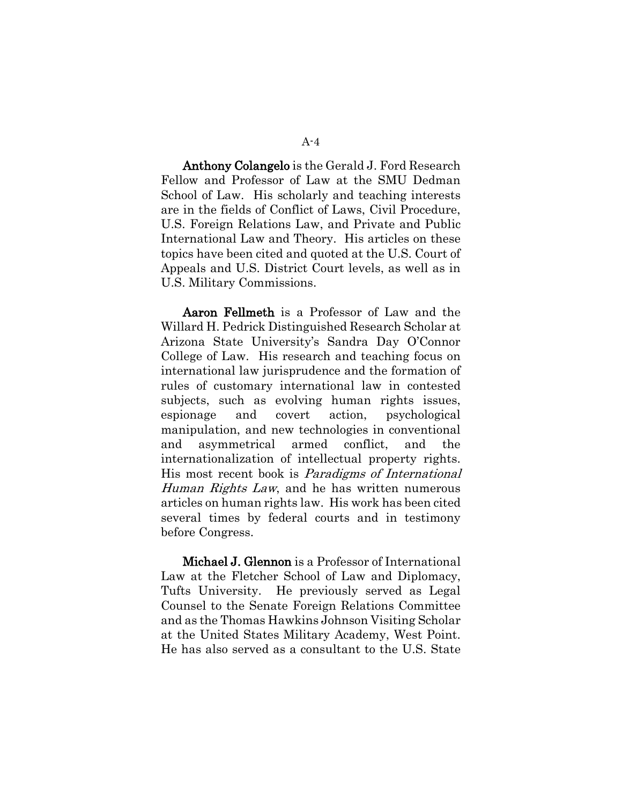Anthony Colangelo is the Gerald J. Ford Research Fellow and Professor of Law at the SMU Dedman School of Law. His scholarly and teaching interests are in the fields of Conflict of Laws, Civil Procedure, U.S. Foreign Relations Law, and Private and Public International Law and Theory. His articles on these topics have been cited and quoted at the U.S. Court of Appeals and U.S. District Court levels, as well as in U.S. Military Commissions.

Aaron Fellmeth is a Professor of Law and the Willard H. Pedrick Distinguished Research Scholar at Arizona State University's Sandra Day O'Connor College of Law. His research and teaching focus on international law jurisprudence and the formation of rules of customary international law in contested subjects, such as evolving human rights issues, espionage and covert action, psychological manipulation, and new technologies in conventional and asymmetrical armed conflict, and the internationalization of intellectual property rights. His most recent book is Paradigms of International Human Rights Law, and he has written numerous articles on human rights law. His work has been cited several times by federal courts and in testimony before Congress.

Michael J. Glennon is a Professor of International Law at the Fletcher School of Law and Diplomacy, Tufts University. He previously served as Legal Counsel to the Senate Foreign Relations Committee and as the Thomas Hawkins Johnson Visiting Scholar at the United States Military Academy, West Point. He has also served as a consultant to the U.S. State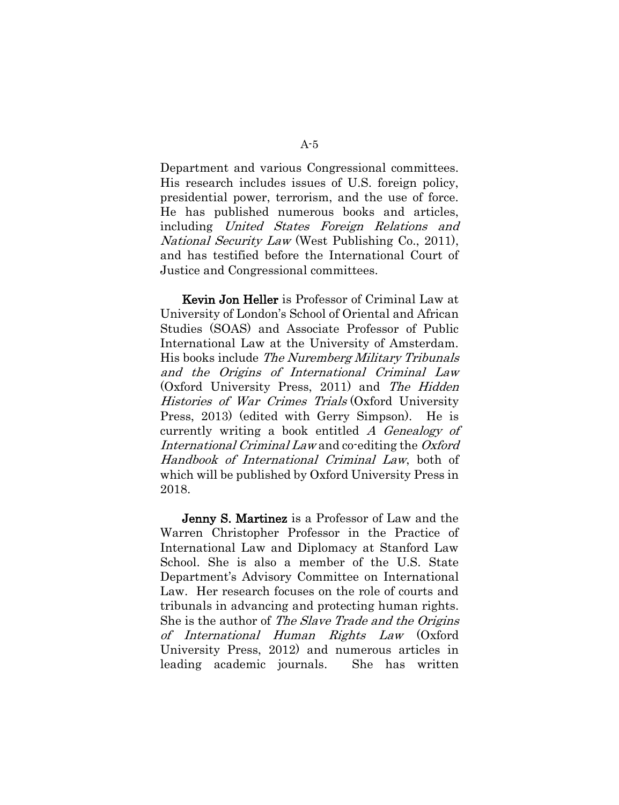Department and various Congressional committees. His research includes issues of U.S. foreign policy, presidential power, terrorism, and the use of force. He has published numerous books and articles, including United States Foreign Relations and National Security Law (West Publishing Co., 2011), and has testified before the International Court of Justice and Congressional committees.

Kevin Jon Heller is Professor of Criminal Law at University of London's School of Oriental and African Studies (SOAS) and Associate Professor of Public International Law at the University of Amsterdam. His books include [The Nuremberg Military Tribunals](http://ukcatalogue.oup.com/product/9780199554317.do?keyword=nuremberg+military+tribunals&sortby=bestMatches#.UjsKftLNk90)  [and the Origins of International Criminal Law](http://ukcatalogue.oup.com/product/9780199554317.do?keyword=nuremberg+military+tribunals&sortby=bestMatches#.UjsKftLNk90) (Oxford University Press, 2011) and [The Hidden](http://ukcatalogue.oup.com/product/9780199671144.do#.UjsKvNLNk91)  [Histories of War Crimes Trials](http://ukcatalogue.oup.com/product/9780199671144.do#.UjsKvNLNk91) (Oxford University Press, 2013) (edited with Gerry Simpson). He is currently writing a book entitled A Genealogy of International Criminal Law and co-editing the Oxford Handbook of International Criminal Law, both of which will be published by Oxford University Press in 2018.

Jenny S. Martinez is a Professor of Law and the Warren Christopher Professor in the Practice of International Law and Diplomacy at Stanford Law School. She is also a member of the U.S. State Department's Advisory Committee on International Law. Her research focuses on the role of courts and tribunals in advancing and protecting human rights. She is the author of The Slave Trade and the Origins of International Human Rights Law (Oxford University Press, 2012) and numerous articles in leading academic journals. She has written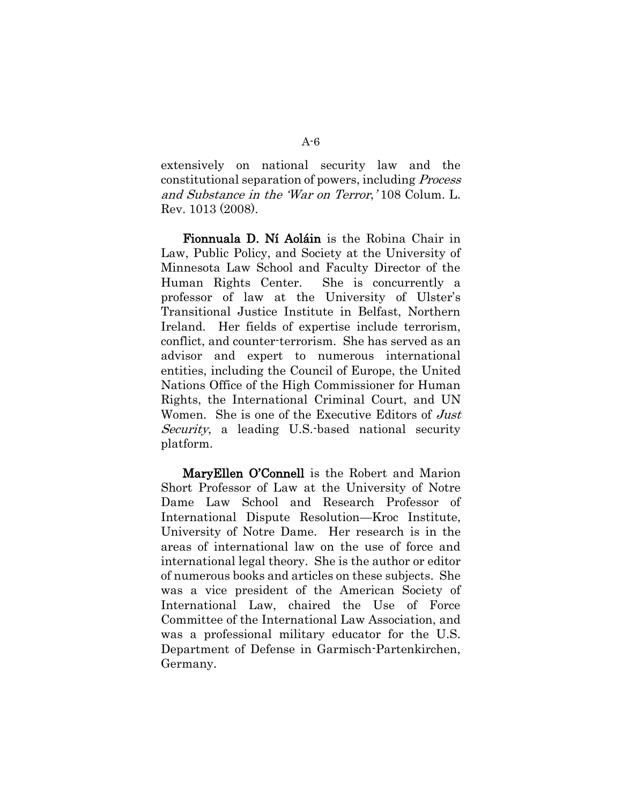extensively on national security law and the constitutional separation of powers, including Process and Substance in the 'War on Terror,' 108 Colum. L. Rev. 1013 (2008).

Fionnuala D. Ní Aoláin is the Robina Chair in Law, Public Policy, and Society at the University of Minnesota Law School and Faculty Director of the Human Rights Center. She is concurrently a professor of law at the University of Ulster's Transitional Justice Institute in Belfast, Northern Ireland. Her fields of expertise include terrorism, conflict, and counter-terrorism. She has served as an advisor and expert to numerous international entities, including the Council of Europe, the United Nations Office of the High Commissioner for Human Rights, the International Criminal Court, and UN Women. She is one of the Executive Editors of Just Security, a leading U.S. based national security platform.

MaryEllen O'Connell is the Robert and Marion Short Professor of Law at the University of Notre Dame Law School and Research Professor of International Dispute Resolution—Kroc Institute, University of Notre Dame. Her research is in the areas of international law on the use of force and international legal theory. She is the author or editor of numerous books and articles on these subjects. She was a vice president of the American Society of International Law, chaired the Use of Force Committee of the International Law Association, and was a professional military educator for the U.S. Department of Defense in Garmisch-Partenkirchen, Germany.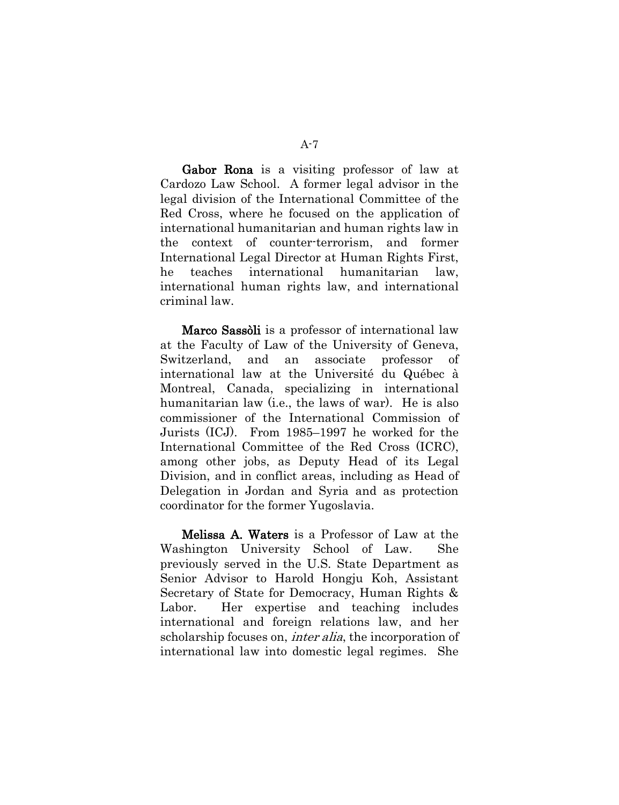Gabor Rona is a visiting professor of law at Cardozo Law School. A former legal advisor in the legal division of the International Committee of the Red Cross, where he focused on the application of international humanitarian and human rights law in the context of counter-terrorism, and former International Legal Director at Human Rights First, he teaches international humanitarian law, international human rights law, and international criminal law.

Marco Sassòli is a professor of international law at the Faculty of Law of the University of Geneva, Switzerland, and an associate professor of international law at the Université du Québec à Montreal, Canada, specializing in international humanitarian law (i.e., the laws of war). He is also commissioner of the International Commission of Jurists (ICJ). From 1985–1997 he worked for the International Committee of the Red Cross (ICRC), among other jobs, as Deputy Head of its Legal Division, and in conflict areas, including as Head of Delegation in Jordan and Syria and as protection coordinator for the former Yugoslavia.

Melissa A. Waters is a Professor of Law at the Washington University School of Law. She previously served in the U.S. State Department as Senior Advisor to Harold Hongju Koh, Assistant Secretary of State for Democracy, Human Rights & Labor. Her expertise and teaching includes international and foreign relations law, and her scholarship focuses on, *inter alia*, the incorporation of international law into domestic legal regimes. She